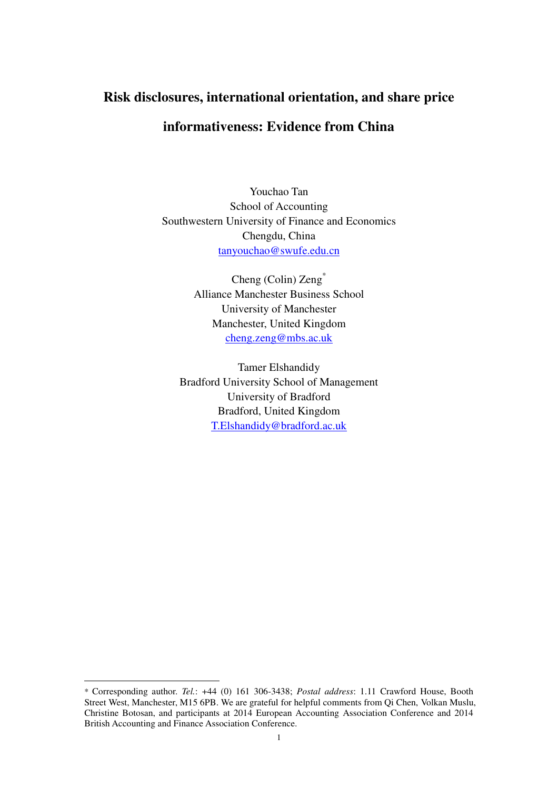# **Risk disclosures, international orientation, and share price**

# **informativeness: Evidence from China**

Youchao Tan School of Accounting Southwestern University of Finance and Economics Chengdu, China [tanyouchao@swufe.edu.cn](mailto:tanyouchao@swufe.edu.cn)

> Cheng (Colin) Zeng\* Alliance Manchester Business School University of Manchester Manchester, United Kingdom [cheng.zeng@mbs.ac.uk](mailto:colin.zeng@bristol.ac.uk)

Tamer Elshandidy Bradford University School of Management University of Bradford Bradford, United Kingdom [T.Elshandidy@bradford.ac.uk](mailto:Tamer.Elshandidy@bristol.ac.uk)

 $\overline{a}$ 

<sup>\*</sup> Corresponding author. *Tel.*: +44 (0) 161 306-3438; *Postal address*: 1.11 Crawford House, Booth Street West, Manchester, M15 6PB. We are grateful for helpful comments from Qi Chen, Volkan Muslu, Christine Botosan, and participants at 2014 European Accounting Association Conference and 2014 British Accounting and Finance Association Conference.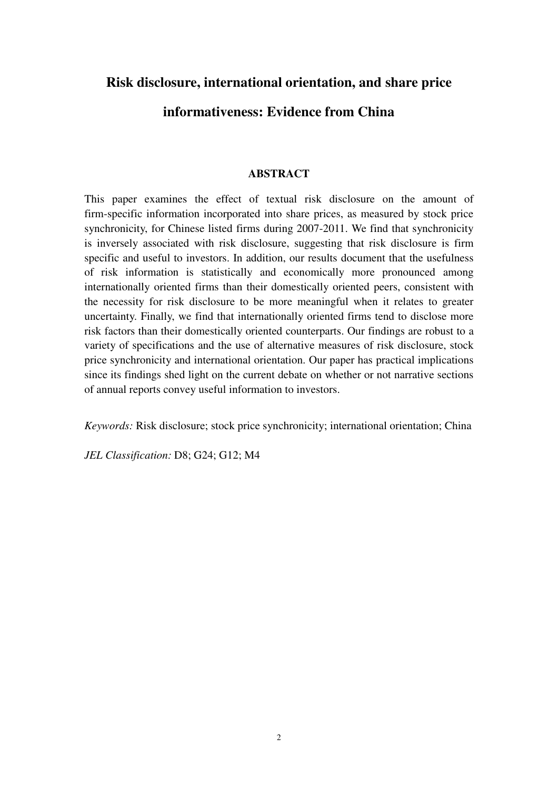## **Risk disclosure, international orientation, and share price**

## **informativeness: Evidence from China**

## **ABSTRACT**

This paper examines the effect of textual risk disclosure on the amount of firm-specific information incorporated into share prices, as measured by stock price synchronicity, for Chinese listed firms during 2007-2011. We find that synchronicity is inversely associated with risk disclosure, suggesting that risk disclosure is firm specific and useful to investors. In addition, our results document that the usefulness of risk information is statistically and economically more pronounced among internationally oriented firms than their domestically oriented peers, consistent with the necessity for risk disclosure to be more meaningful when it relates to greater uncertainty. Finally, we find that internationally oriented firms tend to disclose more risk factors than their domestically oriented counterparts. Our findings are robust to a variety of specifications and the use of alternative measures of risk disclosure, stock price synchronicity and international orientation. Our paper has practical implications since its findings shed light on the current debate on whether or not narrative sections of annual reports convey useful information to investors.

*Keywords:* Risk disclosure; stock price synchronicity; international orientation; China

*JEL Classification:* D8; G24; G12; M4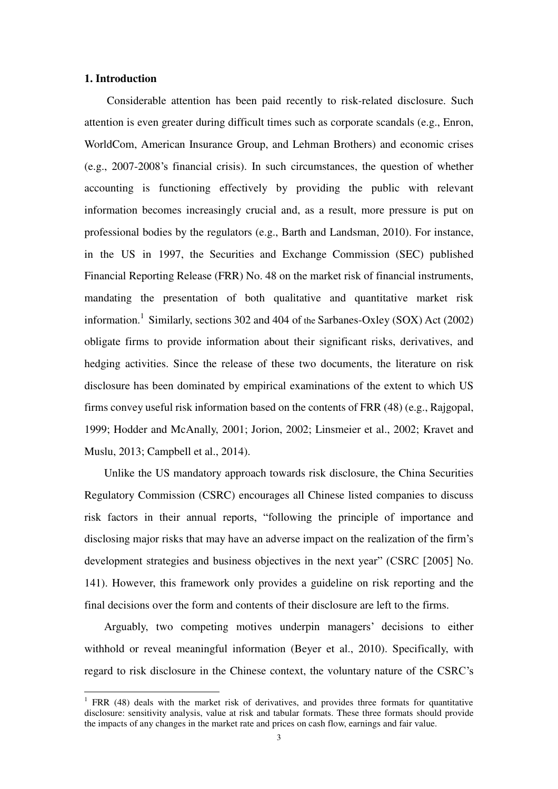## **1. Introduction**

 $\overline{a}$ 

 Considerable attention has been paid recently to risk-related disclosure. Such attention is even greater during difficult times such as corporate scandals (e.g., Enron, WorldCom, American Insurance Group, and Lehman Brothers) and economic crises (e.g., 2007-2008's financial crisis). In such circumstances, the question of whether accounting is functioning effectively by providing the public with relevant information becomes increasingly crucial and, as a result, more pressure is put on professional bodies by the regulators (e.g., Barth and Landsman, 2010). For instance, in the US in 1997, the Securities and Exchange Commission (SEC) published Financial Reporting Release (FRR) No. 48 on the market risk of financial instruments, mandating the presentation of both qualitative and quantitative market risk information.<sup>1</sup> Similarly, sections 302 and 404 of the Sarbanes-Oxley (SOX) Act (2002) obligate firms to provide information about their significant risks, derivatives, and hedging activities. Since the release of these two documents, the literature on risk disclosure has been dominated by empirical examinations of the extent to which US firms convey useful risk information based on the contents of FRR (48) (e.g., Rajgopal, 1999; Hodder and McAnally, 2001; Jorion, 2002; Linsmeier et al., 2002; Kravet and Muslu, 2013; Campbell et al., 2014).

Unlike the US mandatory approach towards risk disclosure, the China Securities Regulatory Commission (CSRC) encourages all Chinese listed companies to discuss risk factors in their annual reports, "following the principle of importance and disclosing major risks that may have an adverse impact on the realization of the firm's development strategies and business objectives in the next year" (CSRC [2005] No. 141). However, this framework only provides a guideline on risk reporting and the final decisions over the form and contents of their disclosure are left to the firms.

Arguably, two competing motives underpin managers' decisions to either withhold or reveal meaningful information (Beyer et al., 2010). Specifically, with regard to risk disclosure in the Chinese context, the voluntary nature of the CSRC's

<sup>&</sup>lt;sup>1</sup> FRR (48) deals with the market risk of derivatives, and provides three formats for quantitative disclosure: sensitivity analysis, value at risk and tabular formats. These three formats should provide the impacts of any changes in the market rate and prices on cash flow, earnings and fair value.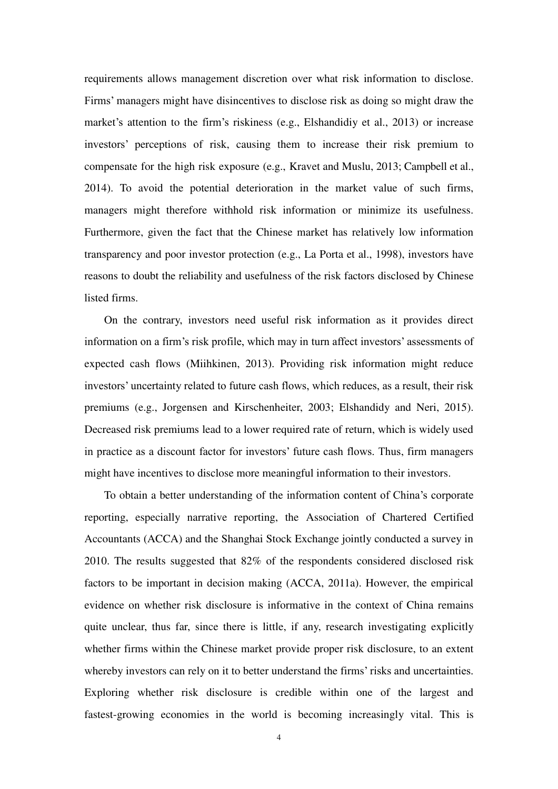requirements allows management discretion over what risk information to disclose. Firms' managers might have disincentives to disclose risk as doing so might draw the market's attention to the firm's riskiness (e.g., Elshandidiy et al., 2013) or increase investors' perceptions of risk, causing them to increase their risk premium to compensate for the high risk exposure (e.g., Kravet and Muslu, 2013; Campbell et al., 2014). To avoid the potential deterioration in the market value of such firms, managers might therefore withhold risk information or minimize its usefulness. Furthermore, given the fact that the Chinese market has relatively low information transparency and poor investor protection (e.g., La Porta et al., 1998), investors have reasons to doubt the reliability and usefulness of the risk factors disclosed by Chinese listed firms.

On the contrary, investors need useful risk information as it provides direct information on a firm's risk profile, which may in turn affect investors' assessments of expected cash flows (Miihkinen, 2013). Providing risk information might reduce investors' uncertainty related to future cash flows, which reduces, as a result, their risk premiums (e.g., Jorgensen and Kirschenheiter, 2003; Elshandidy and Neri, 2015). Decreased risk premiums lead to a lower required rate of return, which is widely used in practice as a discount factor for investors' future cash flows. Thus, firm managers might have incentives to disclose more meaningful information to their investors.

To obtain a better understanding of the information content of China's corporate reporting, especially narrative reporting, the Association of Chartered Certified Accountants (ACCA) and the Shanghai Stock Exchange jointly conducted a survey in 2010. The results suggested that 82% of the respondents considered disclosed risk factors to be important in decision making (ACCA, 2011a). However, the empirical evidence on whether risk disclosure is informative in the context of China remains quite unclear, thus far, since there is little, if any, research investigating explicitly whether firms within the Chinese market provide proper risk disclosure, to an extent whereby investors can rely on it to better understand the firms' risks and uncertainties. Exploring whether risk disclosure is credible within one of the largest and fastest-growing economies in the world is becoming increasingly vital. This is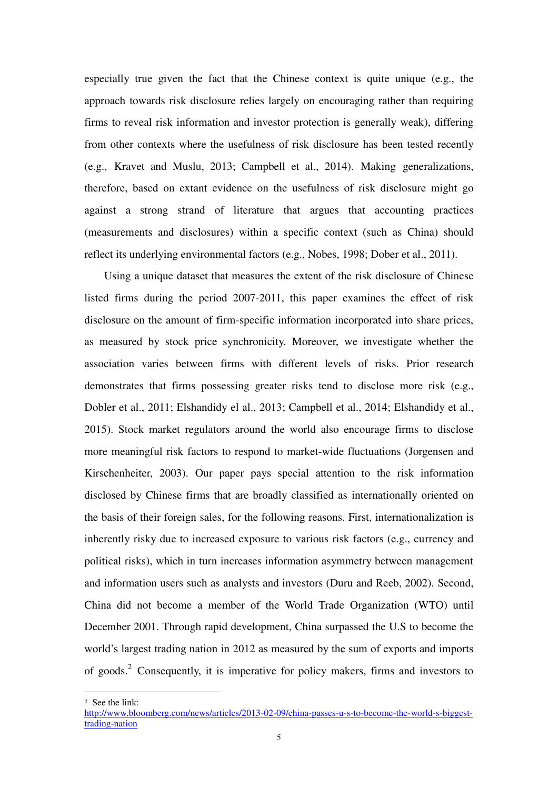especially true given the fact that the Chinese context is quite unique (e.g., the approach towards risk disclosure relies largely on encouraging rather than requiring firms to reveal risk information and investor protection is generally weak), differing from other contexts where the usefulness of risk disclosure has been tested recently (e.g., Kravet and Muslu, 2013; Campbell et al., 2014). Making generalizations, therefore, based on extant evidence on the usefulness of risk disclosure might go against a strong strand of literature that argues that accounting practices (measurements and disclosures) within a specific context (such as China) should reflect its underlying environmental factors (e.g., Nobes, 1998; Dober et al., 2011).

Using a unique dataset that measures the extent of the risk disclosure of Chinese listed firms during the period 2007-2011, this paper examines the effect of risk disclosure on the amount of firm-specific information incorporated into share prices, as measured by stock price synchronicity. Moreover, we investigate whether the association varies between firms with different levels of risks. Prior research demonstrates that firms possessing greater risks tend to disclose more risk (e.g., Dobler et al., 2011; Elshandidy el al., 2013; Campbell et al., 2014; Elshandidy et al., 2015). Stock market regulators around the world also encourage firms to disclose more meaningful risk factors to respond to market-wide fluctuations (Jorgensen and Kirschenheiter, 2003). Our paper pays special attention to the risk information disclosed by Chinese firms that are broadly classified as internationally oriented on the basis of their foreign sales, for the following reasons. First, internationalization is inherently risky due to increased exposure to various risk factors (e.g., currency and political risks), which in turn increases information asymmetry between management and information users such as analysts and investors (Duru and Reeb, 2002). Second, China did not become a member of the World Trade Organization (WTO) until December 2001. Through rapid development, China surpassed the U.S to become the world's largest trading nation in 2012 as measured by the sum of exports and imports of goods.<sup>2</sup> Consequently, it is imperative for policy makers, firms and investors to

<sup>2</sup> See the link:

 $\overline{a}$ 

[http://www.bloomberg.com/news/articles/2013-02-09/china-passes-u-s-to-become-the-world-s-biggest](http://www.bloomberg.com/news/articles/2013-02-09/china-passes-u-s-to-become-the-world-s-biggest-trading-nation)[trading-nation](http://www.bloomberg.com/news/articles/2013-02-09/china-passes-u-s-to-become-the-world-s-biggest-trading-nation)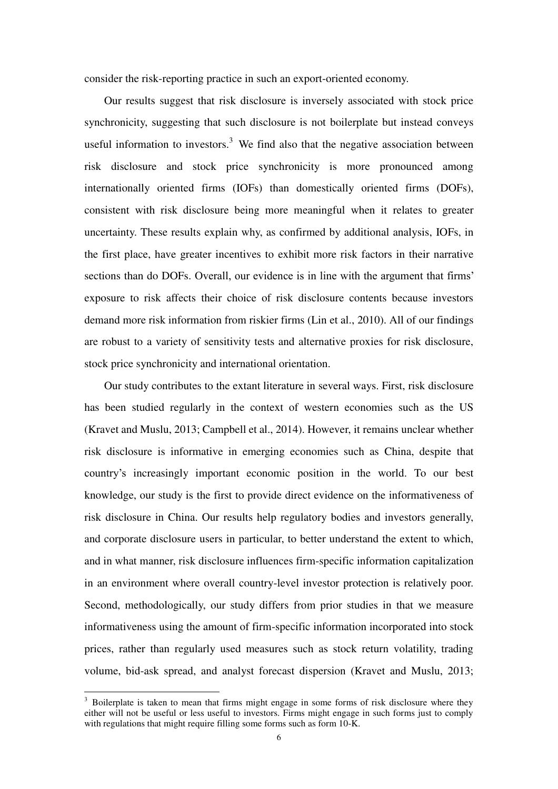consider the risk-reporting practice in such an export-oriented economy.

Our results suggest that risk disclosure is inversely associated with stock price synchronicity, suggesting that such disclosure is not boilerplate but instead conveys useful information to investors. $3$  We find also that the negative association between risk disclosure and stock price synchronicity is more pronounced among internationally oriented firms (IOFs) than domestically oriented firms (DOFs), consistent with risk disclosure being more meaningful when it relates to greater uncertainty. These results explain why, as confirmed by additional analysis, IOFs, in the first place, have greater incentives to exhibit more risk factors in their narrative sections than do DOFs. Overall, our evidence is in line with the argument that firms' exposure to risk affects their choice of risk disclosure contents because investors demand more risk information from riskier firms (Lin et al., 2010). All of our findings are robust to a variety of sensitivity tests and alternative proxies for risk disclosure, stock price synchronicity and international orientation.

Our study contributes to the extant literature in several ways. First, risk disclosure has been studied regularly in the context of western economies such as the US (Kravet and Muslu, 2013; Campbell et al., 2014). However, it remains unclear whether risk disclosure is informative in emerging economies such as China, despite that country's increasingly important economic position in the world. To our best knowledge, our study is the first to provide direct evidence on the informativeness of risk disclosure in China. Our results help regulatory bodies and investors generally, and corporate disclosure users in particular, to better understand the extent to which, and in what manner, risk disclosure influences firm-specific information capitalization in an environment where overall country-level investor protection is relatively poor. Second, methodologically, our study differs from prior studies in that we measure informativeness using the amount of firm-specific information incorporated into stock prices, rather than regularly used measures such as stock return volatility, trading volume, bid-ask spread, and analyst forecast dispersion (Kravet and Muslu, 2013;

 $\overline{a}$ 

<sup>&</sup>lt;sup>3</sup> Boilerplate is taken to mean that firms might engage in some forms of risk disclosure where they either will not be useful or less useful to investors. Firms might engage in such forms just to comply with regulations that might require filling some forms such as form 10-K.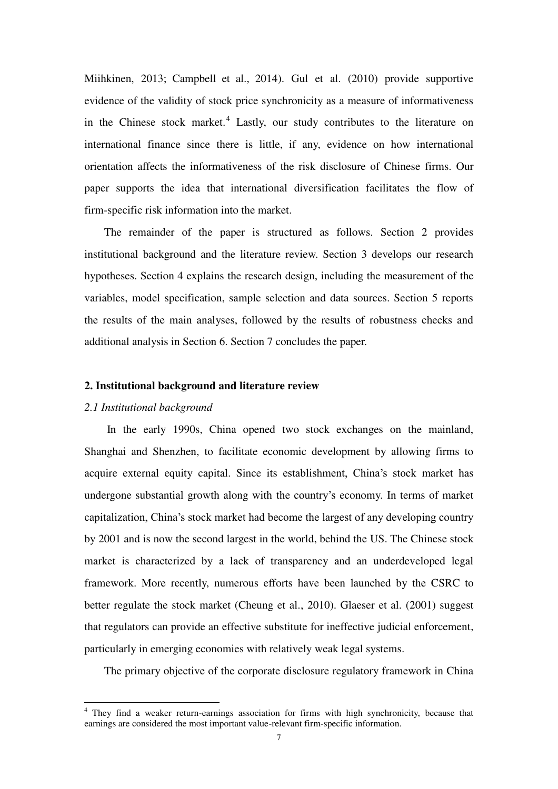Miihkinen, 2013; Campbell et al., 2014). Gul et al. (2010) provide supportive evidence of the validity of stock price synchronicity as a measure of informativeness in the Chinese stock market.<sup>4</sup> Lastly, our study contributes to the literature on international finance since there is little, if any, evidence on how international orientation affects the informativeness of the risk disclosure of Chinese firms. Our paper supports the idea that international diversification facilitates the flow of firm-specific risk information into the market.

The remainder of the paper is structured as follows. Section 2 provides institutional background and the literature review. Section 3 develops our research hypotheses. Section 4 explains the research design, including the measurement of the variables, model specification, sample selection and data sources. Section 5 reports the results of the main analyses, followed by the results of robustness checks and additional analysis in Section 6. Section 7 concludes the paper.

## **2. Institutional background and literature review**

## *2.1 Institutional background*

 $\overline{a}$ 

 In the early 1990s, China opened two stock exchanges on the mainland, Shanghai and Shenzhen, to facilitate economic development by allowing firms to acquire external equity capital. Since its establishment, China's stock market has undergone substantial growth along with the country's economy. In terms of market capitalization, China's stock market had become the largest of any developing country by 2001 and is now the second largest in the world, behind the US. The Chinese stock market is characterized by a lack of transparency and an underdeveloped legal framework. More recently, numerous efforts have been launched by the CSRC to better regulate the stock market (Cheung et al., 2010). Glaeser et al. (2001) suggest that regulators can provide an effective substitute for ineffective judicial enforcement, particularly in emerging economies with relatively weak legal systems.

The primary objective of the corporate disclosure regulatory framework in China

<sup>4</sup> They find a weaker return-earnings association for firms with high synchronicity, because that earnings are considered the most important value-relevant firm-specific information.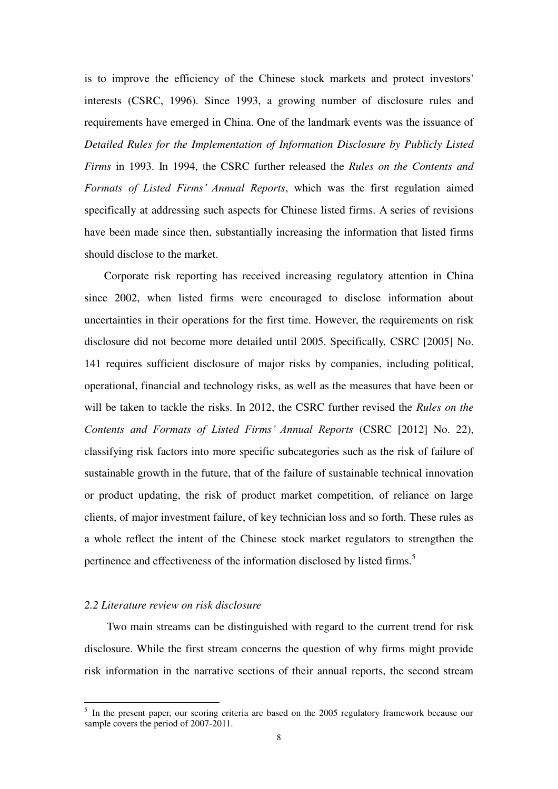is to improve the efficiency of the Chinese stock markets and protect investors' interests (CSRC, 1996). Since 1993, a growing number of disclosure rules and requirements have emerged in China. One of the landmark events was the issuance of *Detailed Rules for the Implementation of Information Disclosure by Publicly Listed Firms* in 1993. In 1994, the CSRC further released the *Rules on the Contents and Formats of Listed Firms' Annual Reports*, which was the first regulation aimed specifically at addressing such aspects for Chinese listed firms. A series of revisions have been made since then, substantially increasing the information that listed firms should disclose to the market.

Corporate risk reporting has received increasing regulatory attention in China since 2002, when listed firms were encouraged to disclose information about uncertainties in their operations for the first time. However, the requirements on risk disclosure did not become more detailed until 2005. Specifically, CSRC [2005] No. 141 requires sufficient disclosure of major risks by companies, including political, operational, financial and technology risks, as well as the measures that have been or will be taken to tackle the risks. In 2012, the CSRC further revised the *Rules on the Contents and Formats of Listed Firms' Annual Reports* (CSRC [2012] No. 22), classifying risk factors into more specific subcategories such as the risk of failure of sustainable growth in the future, that of the failure of sustainable technical innovation or product updating, the risk of product market competition, of reliance on large clients, of major investment failure, of key technician loss and so forth. These rules as a whole reflect the intent of the Chinese stock market regulators to strengthen the pertinence and effectiveness of the information disclosed by listed firms.<sup>5</sup>

#### *2.2 Literature review on risk disclosure*

 $\overline{a}$ 

 Two main streams can be distinguished with regard to the current trend for risk disclosure. While the first stream concerns the question of why firms might provide risk information in the narrative sections of their annual reports, the second stream

<sup>5</sup> In the present paper, our scoring criteria are based on the 2005 regulatory framework because our sample covers the period of 2007-2011.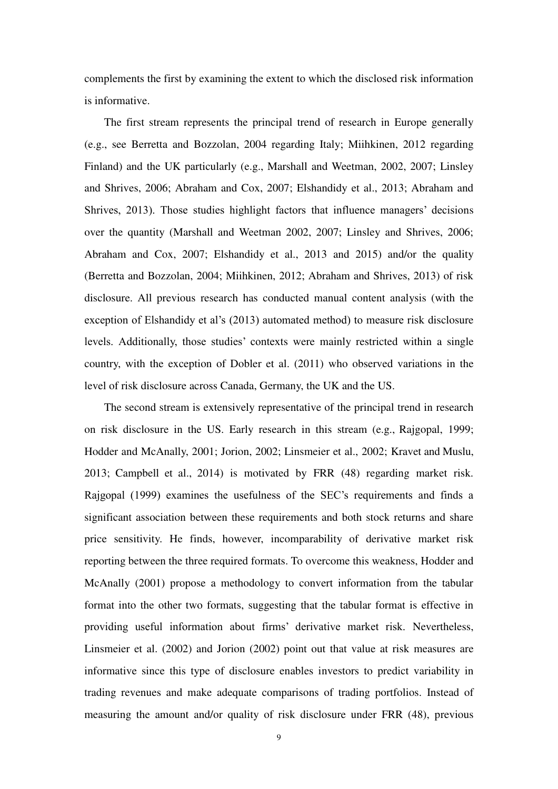complements the first by examining the extent to which the disclosed risk information is informative.

The first stream represents the principal trend of research in Europe generally (e.g., see Berretta and Bozzolan, 2004 regarding Italy; Miihkinen, 2012 regarding Finland) and the UK particularly (e.g., Marshall and Weetman, 2002, 2007; Linsley and Shrives, 2006; Abraham and Cox, 2007; Elshandidy et al., 2013; Abraham and Shrives, 2013). Those studies highlight factors that influence managers' decisions over the quantity (Marshall and Weetman 2002, 2007; Linsley and Shrives, 2006; Abraham and Cox, 2007; Elshandidy et al., 2013 and 2015) and/or the quality (Berretta and Bozzolan, 2004; Miihkinen, 2012; Abraham and Shrives, 2013) of risk disclosure. All previous research has conducted manual content analysis (with the exception of Elshandidy et al's (2013) automated method) to measure risk disclosure levels. Additionally, those studies' contexts were mainly restricted within a single country, with the exception of Dobler et al. (2011) who observed variations in the level of risk disclosure across Canada, Germany, the UK and the US.

The second stream is extensively representative of the principal trend in research on risk disclosure in the US. Early research in this stream (e.g., Rajgopal, 1999; Hodder and McAnally, 2001; Jorion, 2002; Linsmeier et al., 2002; Kravet and Muslu, 2013; Campbell et al., 2014) is motivated by FRR (48) regarding market risk. Rajgopal (1999) examines the usefulness of the SEC's requirements and finds a significant association between these requirements and both stock returns and share price sensitivity. He finds, however, incomparability of derivative market risk reporting between the three required formats. To overcome this weakness, Hodder and McAnally (2001) propose a methodology to convert information from the tabular format into the other two formats, suggesting that the tabular format is effective in providing useful information about firms' derivative market risk. Nevertheless, Linsmeier et al. (2002) and Jorion (2002) point out that value at risk measures are informative since this type of disclosure enables investors to predict variability in trading revenues and make adequate comparisons of trading portfolios. Instead of measuring the amount and/or quality of risk disclosure under FRR (48), previous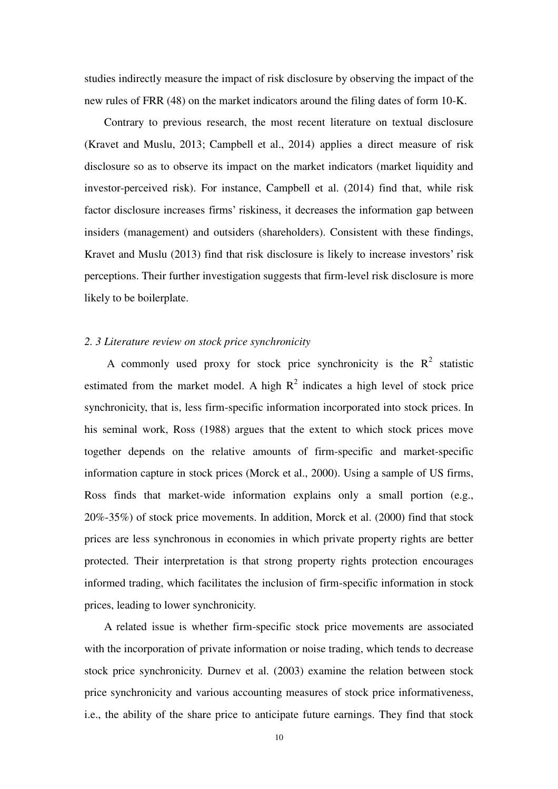studies indirectly measure the impact of risk disclosure by observing the impact of the new rules of FRR (48) on the market indicators around the filing dates of form 10-K.

Contrary to previous research, the most recent literature on textual disclosure (Kravet and Muslu, 2013; Campbell et al., 2014) applies a direct measure of risk disclosure so as to observe its impact on the market indicators (market liquidity and investor-perceived risk). For instance, Campbell et al. (2014) find that, while risk factor disclosure increases firms' riskiness, it decreases the information gap between insiders (management) and outsiders (shareholders). Consistent with these findings, Kravet and Muslu (2013) find that risk disclosure is likely to increase investors' risk perceptions. Their further investigation suggests that firm-level risk disclosure is more likely to be boilerplate.

## *2. 3 Literature review on stock price synchronicity*

A commonly used proxy for stock price synchronicity is the  $R^2$  statistic estimated from the market model. A high  $R^2$  indicates a high level of stock price synchronicity, that is, less firm-specific information incorporated into stock prices. In his seminal work, Ross (1988) argues that the extent to which stock prices move together depends on the relative amounts of firm-specific and market-specific information capture in stock prices (Morck et al., 2000). Using a sample of US firms, Ross finds that market-wide information explains only a small portion (e.g., 20%-35%) of stock price movements. In addition, Morck et al. (2000) find that stock prices are less synchronous in economies in which private property rights are better protected. Their interpretation is that strong property rights protection encourages informed trading, which facilitates the inclusion of firm-specific information in stock prices, leading to lower synchronicity.

A related issue is whether firm-specific stock price movements are associated with the incorporation of private information or noise trading, which tends to decrease stock price synchronicity. Durnev et al. (2003) examine the relation between stock price synchronicity and various accounting measures of stock price informativeness, i.e., the ability of the share price to anticipate future earnings. They find that stock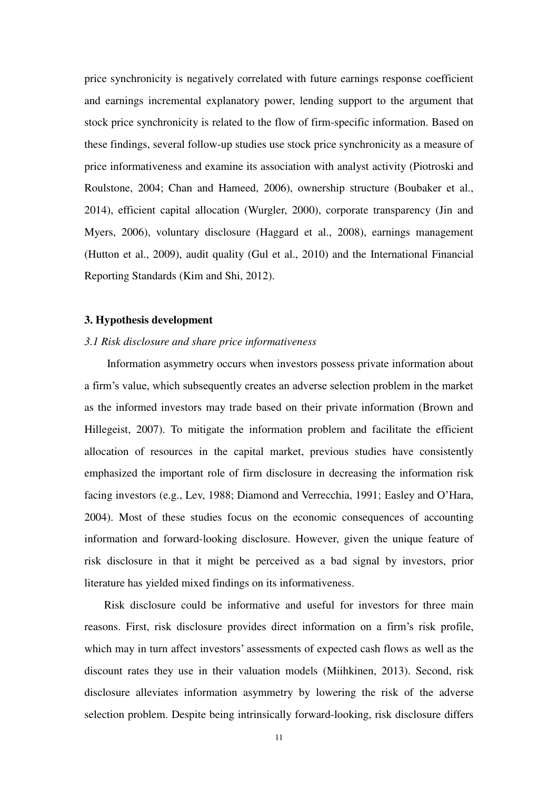price synchronicity is negatively correlated with future earnings response coefficient and earnings incremental explanatory power, lending support to the argument that stock price synchronicity is related to the flow of firm-specific information. Based on these findings, several follow-up studies use stock price synchronicity as a measure of price informativeness and examine its association with analyst activity (Piotroski and Roulstone, 2004; Chan and Hameed, 2006), ownership structure (Boubaker et al., 2014), efficient capital allocation (Wurgler, 2000), corporate transparency (Jin and Myers, 2006), voluntary disclosure (Haggard et al., 2008), earnings management (Hutton et al., 2009), audit quality (Gul et al., 2010) and the International Financial Reporting Standards (Kim and Shi, 2012).

#### **3. Hypothesis development**

#### *3.1 Risk disclosure and share price informativeness*

 Information asymmetry occurs when investors possess private information about a firm's value, which subsequently creates an adverse selection problem in the market as the informed investors may trade based on their private information (Brown and Hillegeist, 2007). To mitigate the information problem and facilitate the efficient allocation of resources in the capital market, previous studies have consistently emphasized the important role of firm disclosure in decreasing the information risk facing investors (e.g., Lev, 1988; Diamond and Verrecchia, 1991; Easley and O'Hara, 2004). Most of these studies focus on the economic consequences of accounting information and forward-looking disclosure. However, given the unique feature of risk disclosure in that it might be perceived as a bad signal by investors, prior literature has yielded mixed findings on its informativeness.

Risk disclosure could be informative and useful for investors for three main reasons. First, risk disclosure provides direct information on a firm's risk profile, which may in turn affect investors' assessments of expected cash flows as well as the discount rates they use in their valuation models (Miihkinen, 2013). Second, risk disclosure alleviates information asymmetry by lowering the risk of the adverse selection problem. Despite being intrinsically forward-looking, risk disclosure differs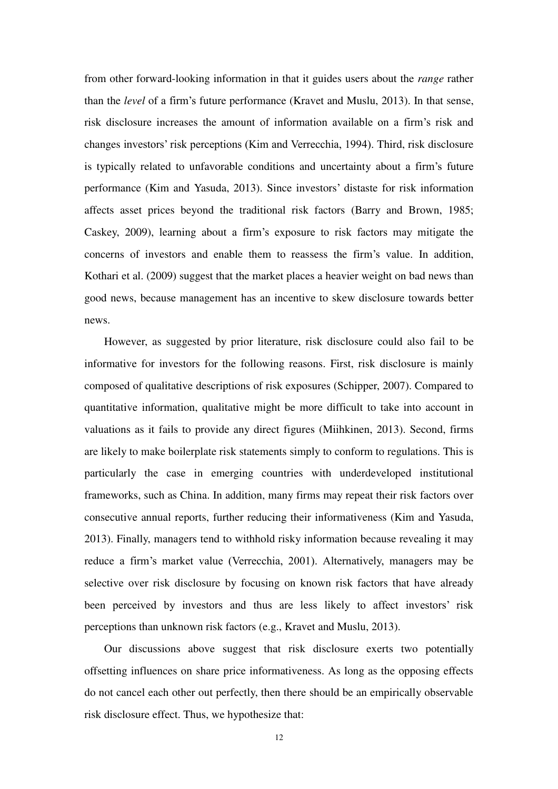from other forward-looking information in that it guides users about the *range* rather than the *level* of a firm's future performance (Kravet and Muslu, 2013). In that sense, risk disclosure increases the amount of information available on a firm's risk and changes investors' risk perceptions (Kim and Verrecchia, 1994). Third, risk disclosure is typically related to unfavorable conditions and uncertainty about a firm's future performance (Kim and Yasuda, 2013). Since investors' distaste for risk information affects asset prices beyond the traditional risk factors (Barry and Brown, 1985; Caskey, 2009), learning about a firm's exposure to risk factors may mitigate the concerns of investors and enable them to reassess the firm's value. In addition, Kothari et al. (2009) suggest that the market places a heavier weight on bad news than good news, because management has an incentive to skew disclosure towards better news.

However, as suggested by prior literature, risk disclosure could also fail to be informative for investors for the following reasons. First, risk disclosure is mainly composed of qualitative descriptions of risk exposures (Schipper, 2007). Compared to quantitative information, qualitative might be more difficult to take into account in valuations as it fails to provide any direct figures (Miihkinen, 2013). Second, firms are likely to make boilerplate risk statements simply to conform to regulations. This is particularly the case in emerging countries with underdeveloped institutional frameworks, such as China. In addition, many firms may repeat their risk factors over consecutive annual reports, further reducing their informativeness (Kim and Yasuda, 2013). Finally, managers tend to withhold risky information because revealing it may reduce a firm's market value (Verrecchia, 2001). Alternatively, managers may be selective over risk disclosure by focusing on known risk factors that have already been perceived by investors and thus are less likely to affect investors' risk perceptions than unknown risk factors (e.g., Kravet and Muslu, 2013).

Our discussions above suggest that risk disclosure exerts two potentially offsetting influences on share price informativeness. As long as the opposing effects do not cancel each other out perfectly, then there should be an empirically observable risk disclosure effect. Thus, we hypothesize that: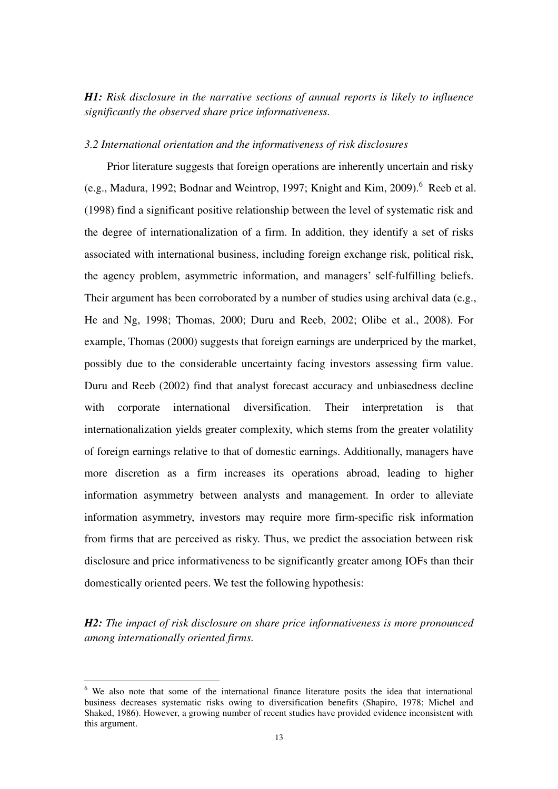*H1: Risk disclosure in the narrative sections of annual reports is likely to influence significantly the observed share price informativeness.* 

#### *3.2 International orientation and the informativeness of risk disclosures*

 Prior literature suggests that foreign operations are inherently uncertain and risky (e.g., Madura, 1992; Bodnar and Weintrop, 1997; Knight and Kim, 2009). $^6$  Reeb et al. (1998) find a significant positive relationship between the level of systematic risk and the degree of internationalization of a firm. In addition, they identify a set of risks associated with international business, including foreign exchange risk, political risk, the agency problem, asymmetric information, and managers' self-fulfilling beliefs. Their argument has been corroborated by a number of studies using archival data (e.g., He and Ng, 1998; Thomas, 2000; Duru and Reeb, 2002; Olibe et al., 2008). For example, Thomas (2000) suggests that foreign earnings are underpriced by the market, possibly due to the considerable uncertainty facing investors assessing firm value. Duru and Reeb (2002) find that analyst forecast accuracy and unbiasedness decline with corporate international diversification. Their interpretation is that internationalization yields greater complexity, which stems from the greater volatility of foreign earnings relative to that of domestic earnings. Additionally, managers have more discretion as a firm increases its operations abroad, leading to higher information asymmetry between analysts and management. In order to alleviate information asymmetry, investors may require more firm-specific risk information from firms that are perceived as risky. Thus, we predict the association between risk disclosure and price informativeness to be significantly greater among IOFs than their domestically oriented peers. We test the following hypothesis:

*H2: The impact of risk disclosure on share price informativeness is more pronounced among internationally oriented firms.*

 $\overline{a}$ 

<sup>&</sup>lt;sup>6</sup> We also note that some of the international finance literature posits the idea that international business decreases systematic risks owing to diversification benefits (Shapiro, 1978; Michel and Shaked, 1986). However, a growing number of recent studies have provided evidence inconsistent with this argument.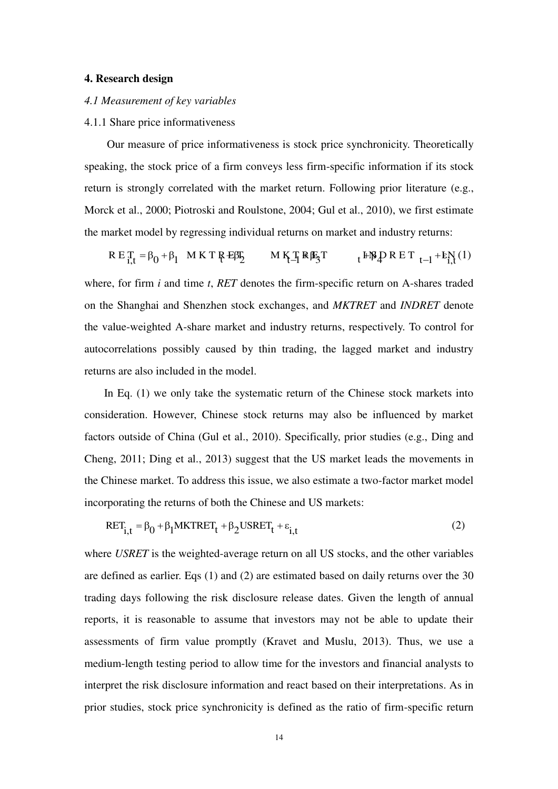#### **4. Research design**

#### *4.1 Measurement of key variables*

#### 4.1.1 Share price informativeness

Our measure of price informativeness is stock price synchronicity. Theoretically speaking, the stock price of a firm conveys less firm-specific information if its stock return is strongly correlated with the market return. Following prior literature (e.g., Morck et al., 2000; Piotroski and Roulstone, 2004; Gul et al., 2010), we first estimate the market model by regressing individual returns on market and industry returns:

$$
R \to T_{i,t} = \beta_0 + \beta_1 \quad M \text{ K T R} = \beta_2 \qquad M \text{ K T R} = T_{t-1} + \beta_2 R \text{ K T}_{t-1} + \beta_3 R \text{ K T}
$$

where, for firm *i* and time *t*, *RET* denotes the firm-specific return on A-shares traded on the Shanghai and Shenzhen stock exchanges, and *MKTRET* and *INDRET* denote the value-weighted A-share market and industry returns, respectively. To control for autocorrelations possibly caused by thin trading, the lagged market and industry returns are also included in the model.

In Eq. (1) we only take the systematic return of the Chinese stock markets into consideration. However, Chinese stock returns may also be influenced by market factors outside of China (Gul et al., 2010). Specifically, prior studies (e.g., Ding and Cheng, 2011; Ding et al., 2013) suggest that the US market leads the movements in the Chinese market. To address this issue, we also estimate a two-factor market model incorporating the returns of both the Chinese and US markets:

$$
RET_{i,t} = \beta_0 + \beta_1 MKTRET_t + \beta_2 USRET_t + \varepsilon_{i,t}
$$
 (2)

where *USRET* is the weighted-average return on all US stocks, and the other variables are defined as earlier. Eqs (1) and (2) are estimated based on daily returns over the 30 trading days following the risk disclosure release dates. Given the length of annual reports, it is reasonable to assume that investors may not be able to update their assessments of firm value promptly (Kravet and Muslu, 2013). Thus, we use a medium-length testing period to allow time for the investors and financial analysts to interpret the risk disclosure information and react based on their interpretations. As in prior studies, stock price synchronicity is defined as the ratio of firm-specific return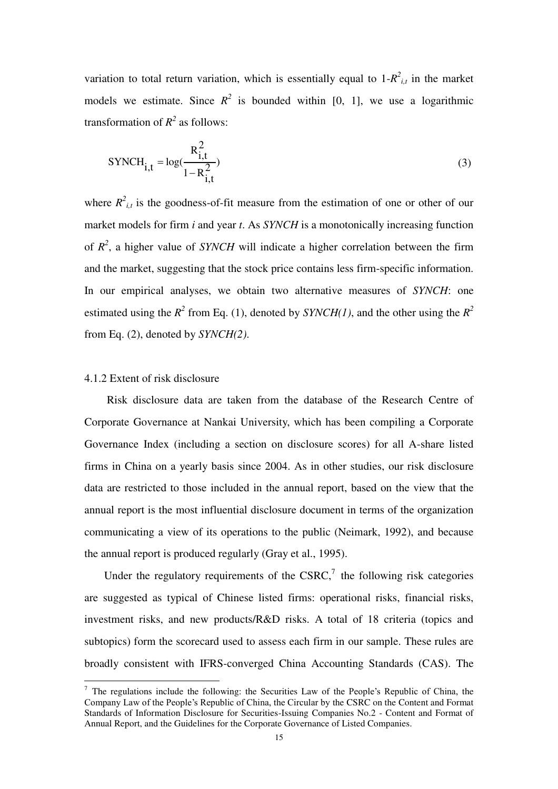variation to total return variation, which is essentially equal to  $1-R^2_{i,t}$  in the market models we estimate. Since  $R^2$  is bounded within [0, 1], we use a logarithmic transformation of  $R^2$  as follows:

$$
SYNCH_{i,t} = \log(\frac{R_{i,t}^2}{1 - R_{i,t}^2})
$$
\n(3)

where  $R^2_{i,t}$  is the goodness-of-fit measure from the estimation of one or other of our market models for firm *i* and year *t*. As *SYNCH* is a monotonically increasing function of  $R^2$ , a higher value of *SYNCH* will indicate a higher correlation between the firm and the market, suggesting that the stock price contains less firm-specific information. In our empirical analyses, we obtain two alternative measures of *SYNCH*: one estimated using the  $R^2$  from Eq. (1), denoted by *SYNCH(1)*, and the other using the  $R^2$ from Eq. (2), denoted by *SYNCH(2)*.

#### 4.1.2 Extent of risk disclosure

 $\overline{a}$ 

 Risk disclosure data are taken from the database of the Research Centre of Corporate Governance at Nankai University, which has been compiling a Corporate Governance Index (including a section on disclosure scores) for all A-share listed firms in China on a yearly basis since 2004. As in other studies, our risk disclosure data are restricted to those included in the annual report, based on the view that the annual report is the most influential disclosure document in terms of the organization communicating a view of its operations to the public (Neimark, 1992), and because the annual report is produced regularly (Gray et al., 1995).

Under the regulatory requirements of the  $CSRC$ , the following risk categories are suggested as typical of Chinese listed firms: operational risks, financial risks, investment risks, and new products/R&D risks. A total of 18 criteria (topics and subtopics) form the scorecard used to assess each firm in our sample. These rules are broadly consistent with IFRS-converged China Accounting Standards (CAS). The

 $<sup>7</sup>$  The regulations include the following: the Securities Law of the People's Republic of China, the</sup> Company Law of the People's Republic of China, the Circular by the CSRC on the Content and Format Standards of Information Disclosure for Securities-Issuing Companies No.2 - Content and Format of Annual Report, and the Guidelines for the Corporate Governance of Listed Companies.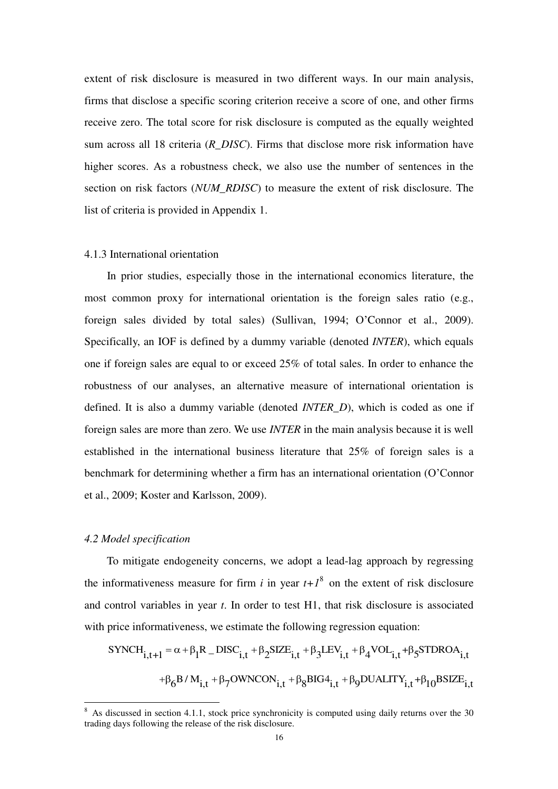extent of risk disclosure is measured in two different ways. In our main analysis, firms that disclose a specific scoring criterion receive a score of one, and other firms receive zero. The total score for risk disclosure is computed as the equally weighted sum across all 18 criteria (*R\_DISC*). Firms that disclose more risk information have higher scores. As a robustness check, we also use the number of sentences in the section on risk factors (*NUM\_RDISC*) to measure the extent of risk disclosure. The list of criteria is provided in Appendix 1.

#### 4.1.3 International orientation

 In prior studies, especially those in the international economics literature, the most common proxy for international orientation is the foreign sales ratio (e.g., foreign sales divided by total sales) (Sullivan, 1994; O'Connor et al., 2009). Specifically, an IOF is defined by a dummy variable (denoted *INTER*), which equals one if foreign sales are equal to or exceed 25% of total sales. In order to enhance the robustness of our analyses, an alternative measure of international orientation is defined. It is also a dummy variable (denoted *INTER\_D*), which is coded as one if foreign sales are more than zero. We use *INTER* in the main analysis because it is well established in the international business literature that 25% of foreign sales is a benchmark for determining whether a firm has an international orientation (O'Connor et al., 2009; Koster and Karlsson, 2009).

#### *4.2 Model specification*

 $\overline{a}$ 

To mitigate endogeneity concerns, we adopt a lead-lag approach by regressing the informativeness measure for firm  $i$  in year  $t+1<sup>8</sup>$  on the extent of risk disclosure and control variables in year *t*. In order to test H1, that risk disclosure is associated with price informativeness, we estimate the following regression equation:

$$
SYNCH_{i,t+1} = \alpha + \beta_1 R \cdot DISC_{i,t} + \beta_2 SIZE_{i,t} + \beta_3 LEV_{i,t} + \beta_4 VOL_{i,t} + \beta_5 STDROA_{i,t} + \beta_6 B/M_{i,t} + \beta_7 OWNCON_{i,t} + \beta_8 BIG4_{i,t} + \beta_9 DUALITY_{i,t} + \beta_{10} BSIZE_{i,t}
$$

<sup>8</sup> As discussed in section 4.1.1, stock price synchronicity is computed using daily returns over the 30 trading days following the release of the risk disclosure.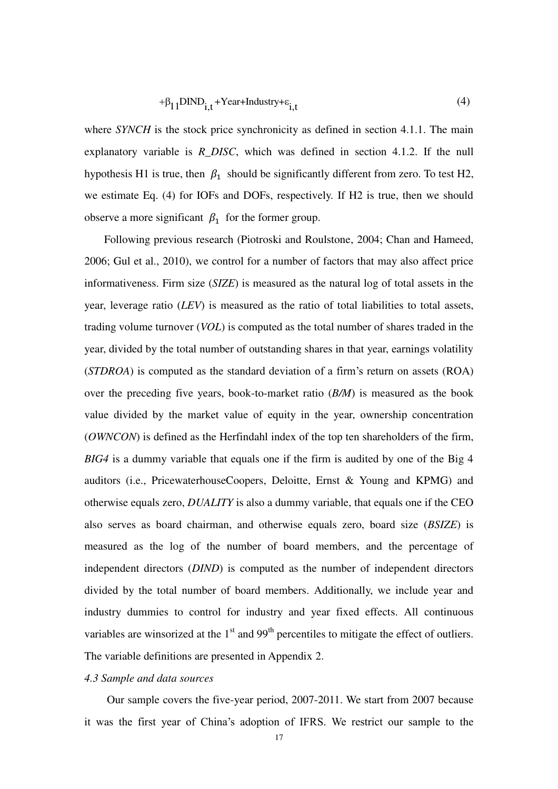$$
+\beta_{11}DIND_{i,t} + Year + Industry + \varepsilon_{i,t}
$$
\n<sup>(4)</sup>

where *SYNCH* is the stock price synchronicity as defined in section 4.1.1. The main explanatory variable is *R\_DISC*, which was defined in section 4.1.2. If the null hypothesis H1 is true, then  $\beta_1$  should be significantly different from zero. To test H2, we estimate Eq. (4) for IOFs and DOFs, respectively. If H2 is true, then we should observe a more significant  $\beta_1$  for the former group.

Following previous research (Piotroski and Roulstone, 2004; Chan and Hameed, 2006; Gul et al., 2010), we control for a number of factors that may also affect price informativeness. Firm size (*SIZE*) is measured as the natural log of total assets in the year, leverage ratio (*LEV*) is measured as the ratio of total liabilities to total assets, trading volume turnover (*VOL*) is computed as the total number of shares traded in the year, divided by the total number of outstanding shares in that year, earnings volatility (*STDROA*) is computed as the standard deviation of a firm's return on assets (ROA) over the preceding five years, book-to-market ratio (*B/M*) is measured as the book value divided by the market value of equity in the year, ownership concentration (*OWNCON*) is defined as the Herfindahl index of the top ten shareholders of the firm, *BIG4* is a dummy variable that equals one if the firm is audited by one of the Big 4 auditors (i.e., PricewaterhouseCoopers, Deloitte, Ernst & Young and KPMG) and otherwise equals zero, *DUALITY* is also a dummy variable, that equals one if the CEO also serves as board chairman, and otherwise equals zero, board size (*BSIZE*) is measured as the log of the number of board members, and the percentage of independent directors (*DIND*) is computed as the number of independent directors divided by the total number of board members. Additionally, we include year and industry dummies to control for industry and year fixed effects. All continuous variables are winsorized at the  $1<sup>st</sup>$  and  $99<sup>th</sup>$  percentiles to mitigate the effect of outliers. The variable definitions are presented in Appendix 2.

## *4.3 Sample and data sources*

 Our sample covers the five-year period, 2007-2011. We start from 2007 because it was the first year of China's adoption of IFRS. We restrict our sample to the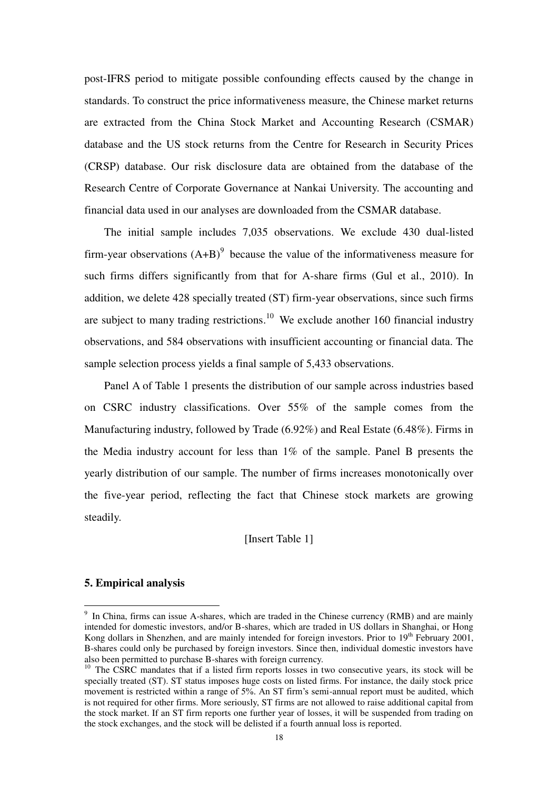post-IFRS period to mitigate possible confounding effects caused by the change in standards. To construct the price informativeness measure, the Chinese market returns are extracted from the China Stock Market and Accounting Research (CSMAR) database and the US stock returns from the Centre for Research in Security Prices (CRSP) database. Our risk disclosure data are obtained from the database of the Research Centre of Corporate Governance at Nankai University. The accounting and financial data used in our analyses are downloaded from the CSMAR database.

The initial sample includes 7,035 observations. We exclude 430 dual-listed firm-year observations  $(A+B)^9$  because the value of the informativeness measure for such firms differs significantly from that for A-share firms (Gul et al., 2010). In addition, we delete 428 specially treated (ST) firm-year observations, since such firms are subject to many trading restrictions.<sup>10</sup> We exclude another 160 financial industry observations, and 584 observations with insufficient accounting or financial data. The sample selection process yields a final sample of 5,433 observations.

Panel A of Table 1 presents the distribution of our sample across industries based on CSRC industry classifications. Over 55% of the sample comes from the Manufacturing industry, followed by Trade (6.92%) and Real Estate (6.48%). Firms in the Media industry account for less than 1% of the sample. Panel B presents the yearly distribution of our sample. The number of firms increases monotonically over the five-year period, reflecting the fact that Chinese stock markets are growing steadily.

## [Insert Table 1]

#### **5. Empirical analysis**

 $\overline{a}$ 

<sup>&</sup>lt;sup>9</sup> In China, firms can issue A-shares, which are traded in the Chinese currency (RMB) and are mainly intended for domestic investors, and/or B-shares, which are traded in US dollars in Shanghai, or Hong Kong dollars in Shenzhen, and are mainly intended for foreign investors. Prior to 19<sup>th</sup> February 2001, B-shares could only be purchased by foreign investors. Since then, individual domestic investors have also been permitted to purchase B-shares with foreign currency.

 $10$  The CSRC mandates that if a listed firm reports losses in two consecutive years, its stock will be specially treated (ST). ST status imposes huge costs on listed firms. For instance, the daily stock price movement is restricted within a range of 5%. An ST firm's semi-annual report must be audited, which is not required for other firms. More seriously, ST firms are not allowed to raise additional capital from the stock market. If an ST firm reports one further year of losses, it will be suspended from trading on the stock exchanges, and the stock will be delisted if a fourth annual loss is reported.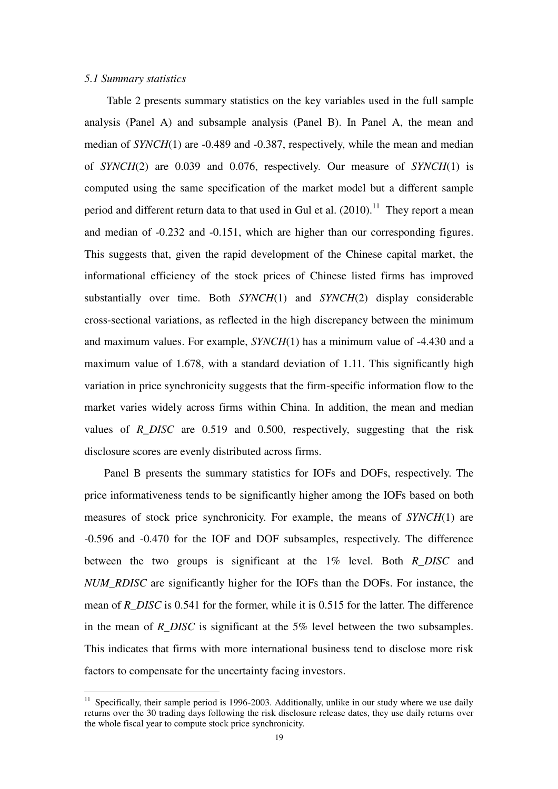## *5.1 Summary statistics*

 $\overline{a}$ 

 Table 2 presents summary statistics on the key variables used in the full sample analysis (Panel A) and subsample analysis (Panel B). In Panel A, the mean and median of *SYNCH*(1) are -0.489 and -0.387, respectively, while the mean and median of *SYNCH*(2) are 0.039 and 0.076, respectively. Our measure of *SYNCH*(1) is computed using the same specification of the market model but a different sample period and different return data to that used in Gul et al.  $(2010).<sup>11</sup>$  They report a mean and median of -0.232 and -0.151, which are higher than our corresponding figures. This suggests that, given the rapid development of the Chinese capital market, the informational efficiency of the stock prices of Chinese listed firms has improved substantially over time. Both *SYNCH*(1) and *SYNCH*(2) display considerable cross-sectional variations, as reflected in the high discrepancy between the minimum and maximum values. For example, *SYNCH*(1) has a minimum value of -4.430 and a maximum value of 1.678, with a standard deviation of 1.11. This significantly high variation in price synchronicity suggests that the firm-specific information flow to the market varies widely across firms within China. In addition, the mean and median values of *R\_DISC* are 0.519 and 0.500, respectively, suggesting that the risk disclosure scores are evenly distributed across firms.

Panel B presents the summary statistics for IOFs and DOFs, respectively. The price informativeness tends to be significantly higher among the IOFs based on both measures of stock price synchronicity. For example, the means of *SYNCH*(1) are -0.596 and -0.470 for the IOF and DOF subsamples, respectively. The difference between the two groups is significant at the 1% level. Both *R\_DISC* and *NUM\_RDISC* are significantly higher for the IOFs than the DOFs. For instance, the mean of *R\_DISC* is 0.541 for the former, while it is 0.515 for the latter. The difference in the mean of *R\_DISC* is significant at the 5% level between the two subsamples. This indicates that firms with more international business tend to disclose more risk factors to compensate for the uncertainty facing investors.

 $11$  Specifically, their sample period is 1996-2003. Additionally, unlike in our study where we use daily returns over the 30 trading days following the risk disclosure release dates, they use daily returns over the whole fiscal year to compute stock price synchronicity.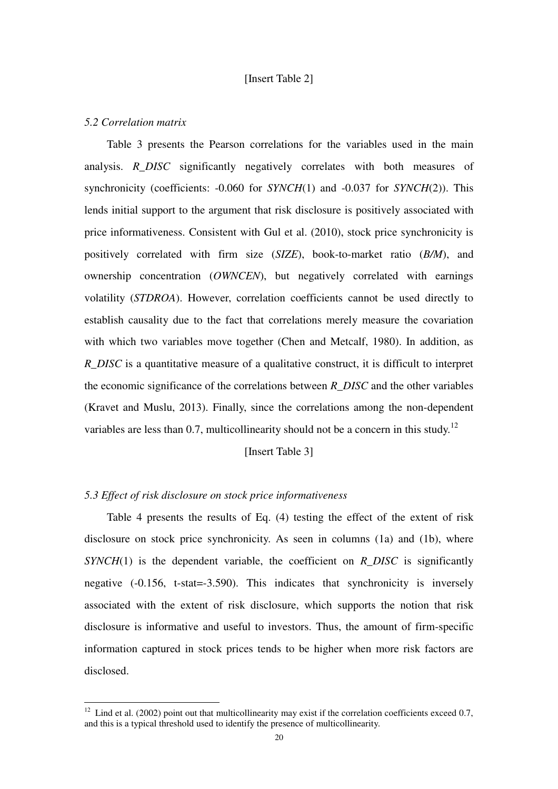## [Insert Table 2]

#### *5.2 Correlation matrix*

 $\overline{a}$ 

 Table 3 presents the Pearson correlations for the variables used in the main analysis. *R\_DISC* significantly negatively correlates with both measures of synchronicity (coefficients: -0.060 for *SYNCH*(1) and -0.037 for *SYNCH*(2)). This lends initial support to the argument that risk disclosure is positively associated with price informativeness. Consistent with Gul et al. (2010), stock price synchronicity is positively correlated with firm size (*SIZE*), book-to-market ratio (*B/M*), and ownership concentration (*OWNCEN*), but negatively correlated with earnings volatility (*STDROA*). However, correlation coefficients cannot be used directly to establish causality due to the fact that correlations merely measure the covariation with which two variables move together (Chen and Metcalf, 1980). In addition, as *R\_DISC* is a quantitative measure of a qualitative construct, it is difficult to interpret the economic significance of the correlations between *R\_DISC* and the other variables (Kravet and Muslu, 2013). Finally, since the correlations among the non-dependent variables are less than 0.7, multicollinearity should not be a concern in this study.<sup>12</sup>

[Insert Table 3]

## *5.3 Effect of risk disclosure on stock price informativeness*

 Table 4 presents the results of Eq. (4) testing the effect of the extent of risk disclosure on stock price synchronicity. As seen in columns (1a) and (1b), where *SYNCH*(1) is the dependent variable, the coefficient on *R\_DISC* is significantly negative (-0.156, t-stat=-3.590). This indicates that synchronicity is inversely associated with the extent of risk disclosure, which supports the notion that risk disclosure is informative and useful to investors. Thus, the amount of firm-specific information captured in stock prices tends to be higher when more risk factors are disclosed.

<sup>&</sup>lt;sup>12</sup> Lind et al. (2002) point out that multicollinearity may exist if the correlation coefficients exceed 0.7, and this is a typical threshold used to identify the presence of multicollinearity.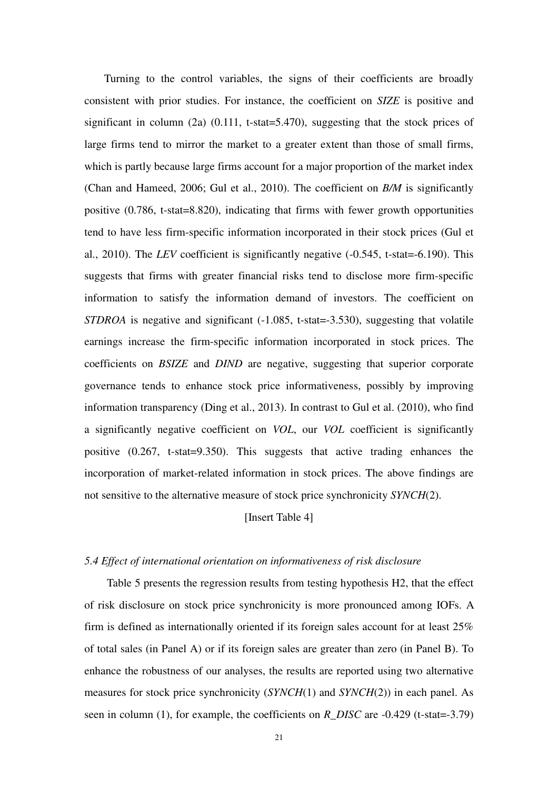Turning to the control variables, the signs of their coefficients are broadly consistent with prior studies. For instance, the coefficient on *SIZE* is positive and significant in column (2a) (0.111, t-stat=5.470), suggesting that the stock prices of large firms tend to mirror the market to a greater extent than those of small firms, which is partly because large firms account for a major proportion of the market index (Chan and Hameed, 2006; Gul et al., 2010). The coefficient on *B/M* is significantly positive (0.786, t-stat=8.820), indicating that firms with fewer growth opportunities tend to have less firm-specific information incorporated in their stock prices (Gul et al., 2010). The *LEV* coefficient is significantly negative (-0.545, t-stat=-6.190). This suggests that firms with greater financial risks tend to disclose more firm-specific information to satisfy the information demand of investors. The coefficient on *STDROA* is negative and significant  $(-1.085, t-stat=3.530)$ , suggesting that volatile earnings increase the firm-specific information incorporated in stock prices. The coefficients on *BSIZE* and *DIND* are negative, suggesting that superior corporate governance tends to enhance stock price informativeness, possibly by improving information transparency (Ding et al., 2013). In contrast to Gul et al. (2010), who find a significantly negative coefficient on *VOL*, our *VOL* coefficient is significantly positive (0.267, t-stat=9.350). This suggests that active trading enhances the incorporation of market-related information in stock prices. The above findings are not sensitive to the alternative measure of stock price synchronicity *SYNCH*(2).

## [Insert Table 4]

#### *5.4 Effect of international orientation on informativeness of risk disclosure*

 Table 5 presents the regression results from testing hypothesis H2, that the effect of risk disclosure on stock price synchronicity is more pronounced among IOFs. A firm is defined as internationally oriented if its foreign sales account for at least 25% of total sales (in Panel A) or if its foreign sales are greater than zero (in Panel B). To enhance the robustness of our analyses, the results are reported using two alternative measures for stock price synchronicity (*SYNCH*(1) and *SYNCH*(2)) in each panel. As seen in column (1), for example, the coefficients on *R\_DISC* are -0.429 (t-stat=-3.79)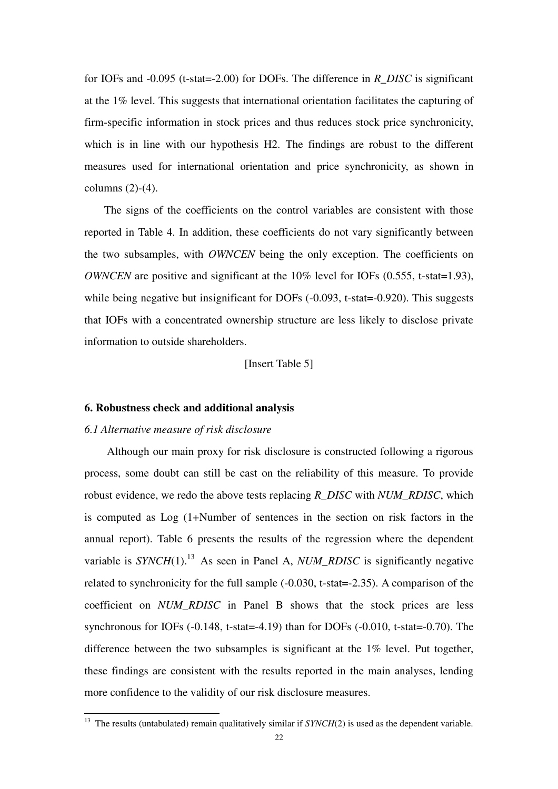for IOFs and -0.095 (t-stat=-2.00) for DOFs. The difference in *R\_DISC* is significant at the 1% level. This suggests that international orientation facilitates the capturing of firm-specific information in stock prices and thus reduces stock price synchronicity, which is in line with our hypothesis H2. The findings are robust to the different measures used for international orientation and price synchronicity, as shown in columns  $(2)-(4)$ .

The signs of the coefficients on the control variables are consistent with those reported in Table 4. In addition, these coefficients do not vary significantly between the two subsamples, with *OWNCEN* being the only exception. The coefficients on *OWNCEN* are positive and significant at the 10% level for IOFs (0.555, t-stat=1.93), while being negative but insignificant for DOFs (-0.093, t-stat=-0.920). This suggests that IOFs with a concentrated ownership structure are less likely to disclose private information to outside shareholders.

## [Insert Table 5]

#### **6. Robustness check and additional analysis**

#### *6.1 Alternative measure of risk disclosure*

 $\overline{a}$ 

 Although our main proxy for risk disclosure is constructed following a rigorous process, some doubt can still be cast on the reliability of this measure. To provide robust evidence, we redo the above tests replacing *R\_DISC* with *NUM\_RDISC*, which is computed as Log (1+Number of sentences in the section on risk factors in the annual report). Table 6 presents the results of the regression where the dependent variable is  $SYNCH(1)$ <sup>13</sup> As seen in Panel A, *NUM\_RDISC* is significantly negative related to synchronicity for the full sample (-0.030, t-stat=-2.35). A comparison of the coefficient on *NUM\_RDISC* in Panel B shows that the stock prices are less synchronous for IOFs (-0.148, t-stat=-4.19) than for DOFs (-0.010, t-stat=-0.70). The difference between the two subsamples is significant at the 1% level. Put together, these findings are consistent with the results reported in the main analyses, lending more confidence to the validity of our risk disclosure measures.

<sup>&</sup>lt;sup>13</sup> The results (untabulated) remain qualitatively similar if *SYNCH*(2) is used as the dependent variable.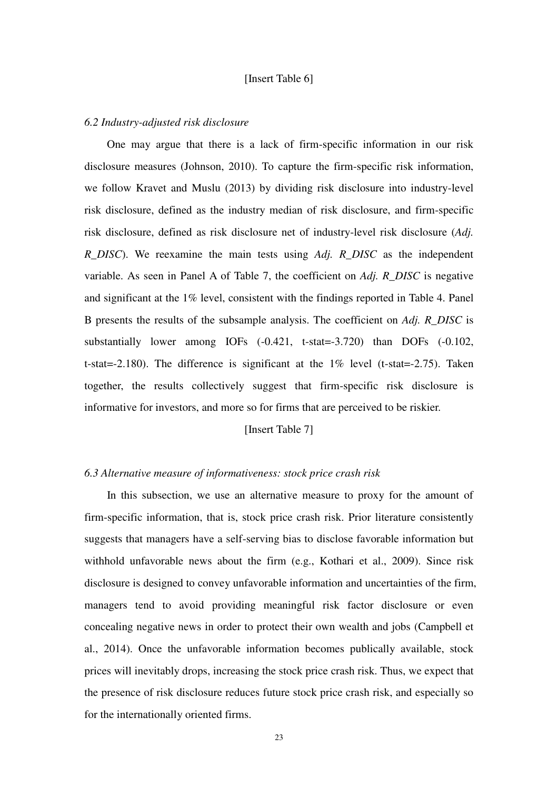#### [Insert Table 6]

#### *6.2 Industry-adjusted risk disclosure*

 One may argue that there is a lack of firm-specific information in our risk disclosure measures (Johnson, 2010). To capture the firm-specific risk information, we follow Kravet and Muslu (2013) by dividing risk disclosure into industry-level risk disclosure, defined as the industry median of risk disclosure, and firm-specific risk disclosure, defined as risk disclosure net of industry-level risk disclosure (*Adj. R\_DISC*). We reexamine the main tests using *Adj. R\_DISC* as the independent variable. As seen in Panel A of Table 7, the coefficient on *Adj. R\_DISC* is negative and significant at the 1% level, consistent with the findings reported in Table 4. Panel B presents the results of the subsample analysis. The coefficient on *Adj. R\_DISC* is substantially lower among IOFs (-0.421, t-stat=-3.720) than DOFs (-0.102, t-stat=-2.180). The difference is significant at the 1% level (t-stat=-2.75). Taken together, the results collectively suggest that firm-specific risk disclosure is informative for investors, and more so for firms that are perceived to be riskier.

## [Insert Table 7]

#### *6.3 Alternative measure of informativeness: stock price crash risk*

 In this subsection, we use an alternative measure to proxy for the amount of firm-specific information, that is, stock price crash risk. Prior literature consistently suggests that managers have a self-serving bias to disclose favorable information but withhold unfavorable news about the firm (e.g., Kothari et al., 2009). Since risk disclosure is designed to convey unfavorable information and uncertainties of the firm, managers tend to avoid providing meaningful risk factor disclosure or even concealing negative news in order to protect their own wealth and jobs (Campbell et al., 2014). Once the unfavorable information becomes publically available, stock prices will inevitably drops, increasing the stock price crash risk. Thus, we expect that the presence of risk disclosure reduces future stock price crash risk, and especially so for the internationally oriented firms.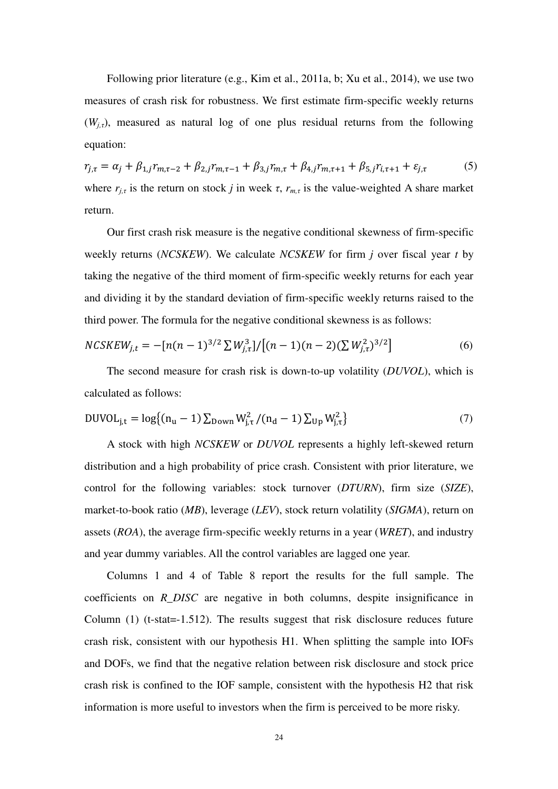Following prior literature (e.g., Kim et al., 2011a, b; Xu et al., 2014), we use two measures of crash risk for robustness. We first estimate firm-specific weekly returns  $(W_{j,t})$ , measured as natural log of one plus residual returns from the following equation:

 $r_{j,\tau} = \alpha_j + \beta_{1,j} r_{m,\tau-2} + \beta_{2,j} r_{m,\tau-1} + \beta_{3,j} r_{m,\tau} + \beta_{4,j} r_{m,\tau+1} + \beta_{5,j} r_{i,\tau+1} + \varepsilon_{j,\tau}$  (5) where  $r_{j,t}$  is the return on stock *j* in week  $\tau$ ,  $r_{m,t}$  is the value-weighted A share market return.

 Our first crash risk measure is the negative conditional skewness of firm-specific weekly returns (*NCSKEW*). We calculate *NCSKEW* for firm *j* over fiscal year *t* by taking the negative of the third moment of firm-specific weekly returns for each year and dividing it by the standard deviation of firm-specific weekly returns raised to the third power. The formula for the negative conditional skewness is as follows:

$$
NCSKEW_{j,t} = -[n(n-1)^{3/2} \sum W_{j,\tau}^{3}]/[(n-1)(n-2)(\sum W_{j,\tau}^{2})^{3/2}] \tag{6}
$$

 The second measure for crash risk is down-to-up volatility (*DUVOL*), which is calculated as follows:

$$
DUVOL_{j,t} = \log\{(n_u - 1) \sum_{Down} W_{j,\tau}^2 / (n_d - 1) \sum_{Up} W_{j,\tau}^2\}
$$
 (7)

 A stock with high *NCSKEW* or *DUVOL* represents a highly left-skewed return distribution and a high probability of price crash. Consistent with prior literature, we control for the following variables: stock turnover (*DTURN*), firm size (*SIZE*), market-to-book ratio (*MB*), leverage (*LEV*), stock return volatility (*SIGMA*), return on assets (*ROA*), the average firm-specific weekly returns in a year (*WRET*), and industry and year dummy variables. All the control variables are lagged one year.

 Columns 1 and 4 of Table 8 report the results for the full sample. The coefficients on *R\_DISC* are negative in both columns, despite insignificance in Column (1) (t-stat=-1.512). The results suggest that risk disclosure reduces future crash risk, consistent with our hypothesis H1. When splitting the sample into IOFs and DOFs, we find that the negative relation between risk disclosure and stock price crash risk is confined to the IOF sample, consistent with the hypothesis H2 that risk information is more useful to investors when the firm is perceived to be more risky.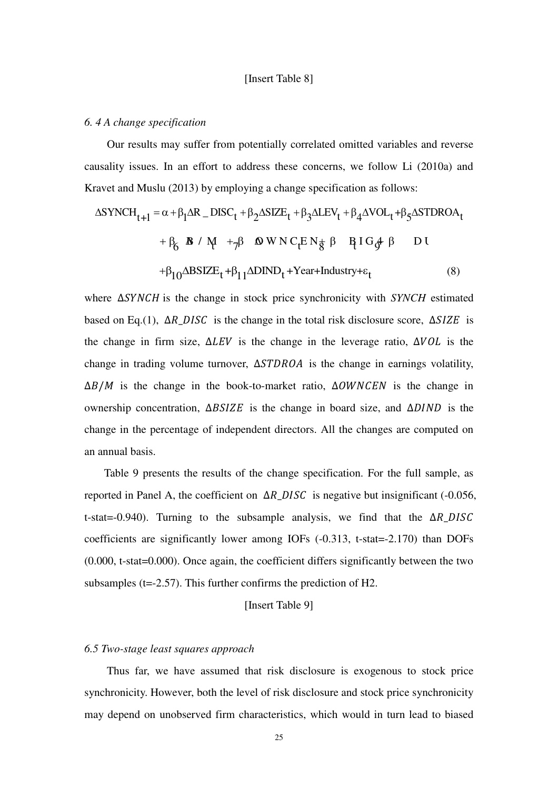#### [Insert Table 8]

#### *6. 4 A change specification*

 Our results may suffer from potentially correlated omitted variables and reverse causality issues. In an effort to address these concerns, we follow Li (2010a) and Kravet and Muslu (2013) by employing a change specification as follows:

$$
\Delta SYNCH_{t+1} = \alpha + \beta_1 \Delta R \quad \text{DISC}_t + \beta_2 \Delta SIZE_t + \beta_3 \Delta LEV_t + \beta_4 \Delta VOL_t + \beta_5 \Delta STDROA_t
$$
  
+  $\beta_6 \quad \mathbf{B} \quad / \quad \mathbf{M} \quad +_{7} \beta \quad \mathbf{0} \quad W \quad N \quad C \quad E \quad N \quad \beta \quad \beta \quad R \quad I \quad G \quad \beta \quad D \quad I$   
+  $\beta_{10} \Delta BSIZE_t + \beta_{11} \Delta DIND_t + Year + Industry + \varepsilon_t$  (8)

where  $\Delta SYNCH$  is the change in stock price synchronicity with *SYNCH* estimated based on Eq.(1),  $\Delta R$ \_DISC is the change in the total risk disclosure score,  $\Delta SIZE$  is the change in firm size,  $\Delta$ LEV is the change in the leverage ratio,  $\Delta$ VOL is the change in trading volume turnover,  $\triangle STDROA$  is the change in earnings volatility,  $\Delta B/M$  is the change in the book-to-market ratio,  $\Delta OWNCEN$  is the change in ownership concentration,  $\triangle BSIZE$  is the change in board size, and  $\triangle DIND$  is the change in the percentage of independent directors. All the changes are computed on an annual basis.

Table 9 presents the results of the change specification. For the full sample, as reported in Panel A, the coefficient on  $\Delta R$ \_DISC is negative but insignificant (-0.056, t-stat=-0.940). Turning to the subsample analysis, we find that the  $\Delta R$ \_DISC coefficients are significantly lower among IOFs (-0.313, t-stat=-2.170) than DOFs (0.000, t-stat=0.000). Once again, the coefficient differs significantly between the two subsamples (t=-2.57). This further confirms the prediction of H2.

#### [Insert Table 9]

#### *6.5 Two-stage least squares approach*

 Thus far, we have assumed that risk disclosure is exogenous to stock price synchronicity. However, both the level of risk disclosure and stock price synchronicity may depend on unobserved firm characteristics, which would in turn lead to biased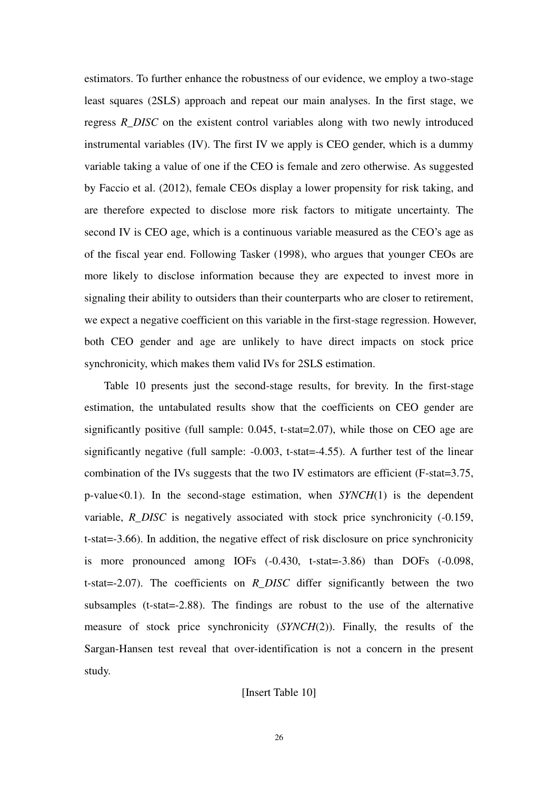estimators. To further enhance the robustness of our evidence, we employ a two-stage least squares (2SLS) approach and repeat our main analyses. In the first stage, we regress *R\_DISC* on the existent control variables along with two newly introduced instrumental variables (IV). The first IV we apply is CEO gender, which is a dummy variable taking a value of one if the CEO is female and zero otherwise. As suggested by Faccio et al. (2012), female CEOs display a lower propensity for risk taking, and are therefore expected to disclose more risk factors to mitigate uncertainty. The second IV is CEO age, which is a continuous variable measured as the CEO's age as of the fiscal year end. Following Tasker (1998), who argues that younger CEOs are more likely to disclose information because they are expected to invest more in signaling their ability to outsiders than their counterparts who are closer to retirement, we expect a negative coefficient on this variable in the first-stage regression. However, both CEO gender and age are unlikely to have direct impacts on stock price synchronicity, which makes them valid IVs for 2SLS estimation.

Table 10 presents just the second-stage results, for brevity. In the first-stage estimation, the untabulated results show that the coefficients on CEO gender are significantly positive (full sample: 0.045, t-stat=2.07), while those on CEO age are significantly negative (full sample: -0.003, t-stat=-4.55). A further test of the linear combination of the IVs suggests that the two IV estimators are efficient (F-stat=3.75, p-value<0.1). In the second-stage estimation, when *SYNCH*(1) is the dependent variable, *R\_DISC* is negatively associated with stock price synchronicity (-0.159, t-stat=-3.66). In addition, the negative effect of risk disclosure on price synchronicity is more pronounced among IOFs (-0.430, t-stat=-3.86) than DOFs (-0.098, t-stat=-2.07). The coefficients on *R\_DISC* differ significantly between the two subsamples (t-stat=-2.88). The findings are robust to the use of the alternative measure of stock price synchronicity (*SYNCH*(2)). Finally, the results of the Sargan-Hansen test reveal that over-identification is not a concern in the present study.

[Insert Table 10]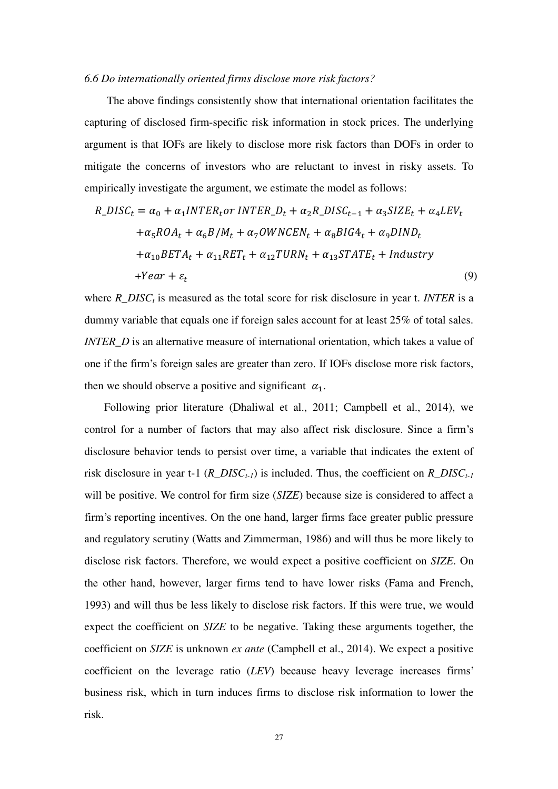#### *6.6 Do internationally oriented firms disclose more risk factors?*

 The above findings consistently show that international orientation facilitates the capturing of disclosed firm-specific risk information in stock prices. The underlying argument is that IOFs are likely to disclose more risk factors than DOFs in order to mitigate the concerns of investors who are reluctant to invest in risky assets. To empirically investigate the argument, we estimate the model as follows:

$$
R\_DISC_t = \alpha_0 + \alpha_1 INTER_t \text{or INTER}\_D_t + \alpha_2 R\_DISC_{t-1} + \alpha_3 SIZE_t + \alpha_4 LEV_t
$$
  
+  $\alpha_5 ROA_t + \alpha_6 B/M_t + \alpha_7 OWN CEN_t + \alpha_8 BIG4_t + \alpha_9 DIND_t$   
+  $\alpha_{10} BETA_t + \alpha_{11} RET_t + \alpha_{12} TURN_t + \alpha_{13} STATE_t + Industry$   
+  $Year + \varepsilon_t$  (9)

where *R\_DISC<sub>t</sub>* is measured as the total score for risk disclosure in year t. *INTER* is a dummy variable that equals one if foreign sales account for at least 25% of total sales. *INTER\_D* is an alternative measure of international orientation, which takes a value of one if the firm's foreign sales are greater than zero. If IOFs disclose more risk factors, then we should observe a positive and significant  $\alpha_1$ .

Following prior literature (Dhaliwal et al., 2011; Campbell et al., 2014), we control for a number of factors that may also affect risk disclosure. Since a firm's disclosure behavior tends to persist over time, a variable that indicates the extent of risk disclosure in year t-1 (*R\_DISCt-1*) is included. Thus, the coefficient on *R\_DISCt-1* will be positive. We control for firm size (*SIZE*) because size is considered to affect a firm's reporting incentives. On the one hand, larger firms face greater public pressure and regulatory scrutiny (Watts and Zimmerman, 1986) and will thus be more likely to disclose risk factors. Therefore, we would expect a positive coefficient on *SIZE*. On the other hand, however, larger firms tend to have lower risks (Fama and French, 1993) and will thus be less likely to disclose risk factors. If this were true, we would expect the coefficient on *SIZE* to be negative. Taking these arguments together, the coefficient on *SIZE* is unknown *ex ante* (Campbell et al., 2014). We expect a positive coefficient on the leverage ratio (*LEV*) because heavy leverage increases firms' business risk, which in turn induces firms to disclose risk information to lower the risk.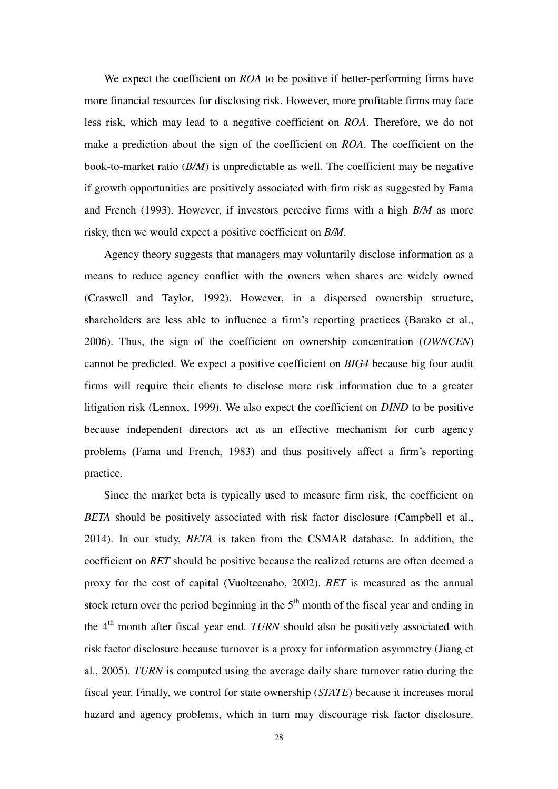We expect the coefficient on *ROA* to be positive if better-performing firms have more financial resources for disclosing risk. However, more profitable firms may face less risk, which may lead to a negative coefficient on *ROA*. Therefore, we do not make a prediction about the sign of the coefficient on *ROA*. The coefficient on the book-to-market ratio (*B/M*) is unpredictable as well. The coefficient may be negative if growth opportunities are positively associated with firm risk as suggested by Fama and French (1993). However, if investors perceive firms with a high *B/M* as more risky, then we would expect a positive coefficient on *B/M*.

Agency theory suggests that managers may voluntarily disclose information as a means to reduce agency conflict with the owners when shares are widely owned (Craswell and Taylor, 1992). However, in a dispersed ownership structure, shareholders are less able to influence a firm's reporting practices (Barako et al., 2006). Thus, the sign of the coefficient on ownership concentration (*OWNCEN*) cannot be predicted. We expect a positive coefficient on *BIG4* because big four audit firms will require their clients to disclose more risk information due to a greater litigation risk (Lennox, 1999). We also expect the coefficient on *DIND* to be positive because independent directors act as an effective mechanism for curb agency problems (Fama and French, 1983) and thus positively affect a firm's reporting practice.

Since the market beta is typically used to measure firm risk, the coefficient on *BETA* should be positively associated with risk factor disclosure (Campbell et al., 2014). In our study, *BETA* is taken from the CSMAR database. In addition, the coefficient on *RET* should be positive because the realized returns are often deemed a proxy for the cost of capital (Vuolteenaho, 2002). *RET* is measured as the annual stock return over the period beginning in the  $5<sup>th</sup>$  month of the fiscal year and ending in the 4<sup>th</sup> month after fiscal year end. *TURN* should also be positively associated with risk factor disclosure because turnover is a proxy for information asymmetry (Jiang et al., 2005). *TURN* is computed using the average daily share turnover ratio during the fiscal year. Finally, we control for state ownership (*STATE*) because it increases moral hazard and agency problems, which in turn may discourage risk factor disclosure.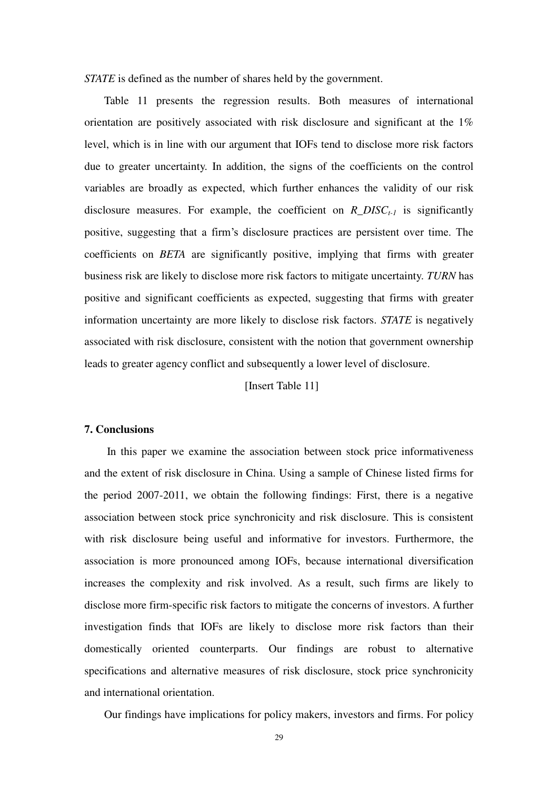*STATE* is defined as the number of shares held by the government.

Table 11 presents the regression results. Both measures of international orientation are positively associated with risk disclosure and significant at the 1% level, which is in line with our argument that IOFs tend to disclose more risk factors due to greater uncertainty. In addition, the signs of the coefficients on the control variables are broadly as expected, which further enhances the validity of our risk disclosure measures. For example, the coefficient on *R\_DISCt-1* is significantly positive, suggesting that a firm's disclosure practices are persistent over time. The coefficients on *BETA* are significantly positive, implying that firms with greater business risk are likely to disclose more risk factors to mitigate uncertainty. *TURN* has positive and significant coefficients as expected, suggesting that firms with greater information uncertainty are more likely to disclose risk factors. *STATE* is negatively associated with risk disclosure, consistent with the notion that government ownership leads to greater agency conflict and subsequently a lower level of disclosure.

## [Insert Table 11]

## **7. Conclusions**

 In this paper we examine the association between stock price informativeness and the extent of risk disclosure in China. Using a sample of Chinese listed firms for the period 2007-2011, we obtain the following findings: First, there is a negative association between stock price synchronicity and risk disclosure. This is consistent with risk disclosure being useful and informative for investors. Furthermore, the association is more pronounced among IOFs, because international diversification increases the complexity and risk involved. As a result, such firms are likely to disclose more firm-specific risk factors to mitigate the concerns of investors. A further investigation finds that IOFs are likely to disclose more risk factors than their domestically oriented counterparts. Our findings are robust to alternative specifications and alternative measures of risk disclosure, stock price synchronicity and international orientation.

Our findings have implications for policy makers, investors and firms. For policy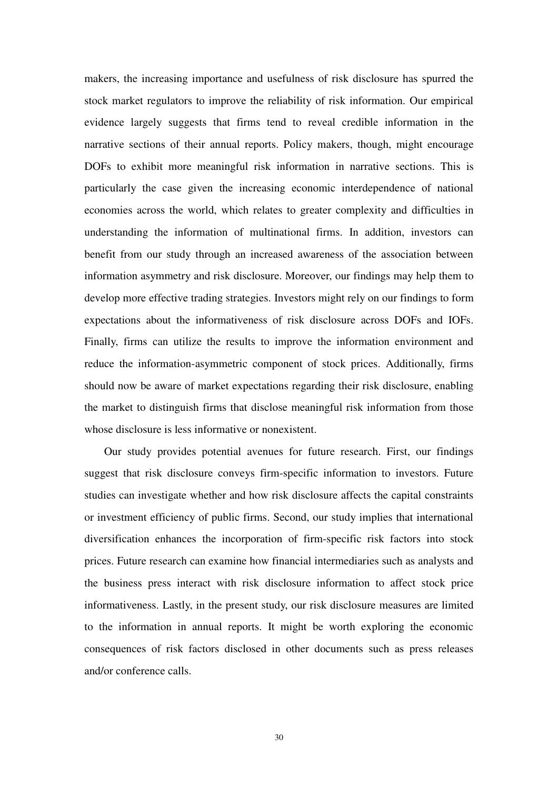makers, the increasing importance and usefulness of risk disclosure has spurred the stock market regulators to improve the reliability of risk information. Our empirical evidence largely suggests that firms tend to reveal credible information in the narrative sections of their annual reports. Policy makers, though, might encourage DOFs to exhibit more meaningful risk information in narrative sections. This is particularly the case given the increasing economic interdependence of national economies across the world, which relates to greater complexity and difficulties in understanding the information of multinational firms. In addition, investors can benefit from our study through an increased awareness of the association between information asymmetry and risk disclosure. Moreover, our findings may help them to develop more effective trading strategies. Investors might rely on our findings to form expectations about the informativeness of risk disclosure across DOFs and IOFs. Finally, firms can utilize the results to improve the information environment and reduce the information-asymmetric component of stock prices. Additionally, firms should now be aware of market expectations regarding their risk disclosure, enabling the market to distinguish firms that disclose meaningful risk information from those whose disclosure is less informative or nonexistent.

Our study provides potential avenues for future research. First, our findings suggest that risk disclosure conveys firm-specific information to investors. Future studies can investigate whether and how risk disclosure affects the capital constraints or investment efficiency of public firms. Second, our study implies that international diversification enhances the incorporation of firm-specific risk factors into stock prices. Future research can examine how financial intermediaries such as analysts and the business press interact with risk disclosure information to affect stock price informativeness. Lastly, in the present study, our risk disclosure measures are limited to the information in annual reports. It might be worth exploring the economic consequences of risk factors disclosed in other documents such as press releases and/or conference calls.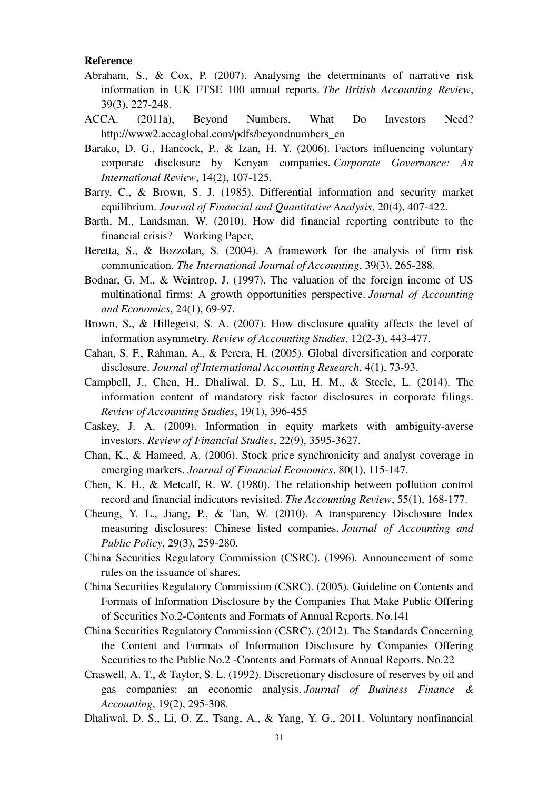## **Reference**

- Abraham, S., & Cox, P. (2007). Analysing the determinants of narrative risk information in UK FTSE 100 annual reports. *The British Accounting Review*, 39(3), 227-248.
- ACCA. (2011a), Beyond Numbers, What Do Investors Need? [http://www2.accaglobal.com/pdfs/beyondnumbers\\_en](http://www2.accaglobal.com/pdfs/beyondnumbers_en)
- Barako, D. G., Hancock, P., & Izan, H. Y. (2006). Factors influencing voluntary corporate disclosure by Kenyan companies. *Corporate Governance: An International Review*, 14(2), 107-125.
- Barry, C., & Brown, S. J. (1985). Differential information and security market equilibrium. *Journal of Financial and Quantitative Analysis*, 20(4), 407-422.
- Barth, M., Landsman, W. (2010). How did financial reporting contribute to the financial crisis? Working Paper,
- Beretta, S., & Bozzolan, S. (2004). A framework for the analysis of firm risk communication. *The International Journal of Accounting*, 39(3), 265-288.
- Bodnar, G. M., & Weintrop, J. (1997). The valuation of the foreign income of US multinational firms: A growth opportunities perspective. *Journal of Accounting and Economics*, 24(1), 69-97.
- Brown, S., & Hillegeist, S. A. (2007). How disclosure quality affects the level of information asymmetry. *Review of Accounting Studies*, 12(2-3), 443-477.
- Cahan, S. F., Rahman, A., & Perera, H. (2005). Global diversification and corporate disclosure. *Journal of International Accounting Research*, 4(1), 73-93.
- Campbell, J., Chen, H., Dhaliwal, D. S., Lu, H. M., & Steele, L. (2014). The information content of mandatory risk factor disclosures in corporate filings. *Review of Accounting Studies*, 19(1), 396-455
- Caskey, J. A. (2009). Information in equity markets with ambiguity-averse investors. *Review of Financial Studies*, 22(9), 3595-3627.
- Chan, K., & Hameed, A. (2006). Stock price synchronicity and analyst coverage in emerging markets. *Journal of Financial Economics*, 80(1), 115-147.
- Chen, K. H., & Metcalf, R. W. (1980). The relationship between pollution control record and financial indicators revisited. *The Accounting Review*, 55(1), 168-177.
- Cheung, Y. L., Jiang, P., & Tan, W. (2010). A transparency Disclosure Index measuring disclosures: Chinese listed companies. *Journal of Accounting and Public Policy*, 29(3), 259-280.
- China Securities Regulatory Commission (CSRC). (1996). Announcement of some rules on the issuance of shares.
- China Securities Regulatory Commission (CSRC). (2005). Guideline on Contents and Formats of Information Disclosure by the Companies That Make Public Offering of Securities No.2-Contents and Formats of Annual Reports. No.141
- China Securities Regulatory Commission (CSRC). (2012). The Standards Concerning the Content and Formats of Information Disclosure by Companies Offering Securities to the Public No.2 -Contents and Formats of Annual Reports. No.22
- Craswell, A. T., & Taylor, S. L. (1992). Discretionary disclosure of reserves by oil and gas companies: an economic analysis. *Journal of Business Finance & Accounting*, 19(2), 295-308.
- Dhaliwal, D. S., Li, O. Z., Tsang, A., & Yang, Y. G., 2011. Voluntary nonfinancial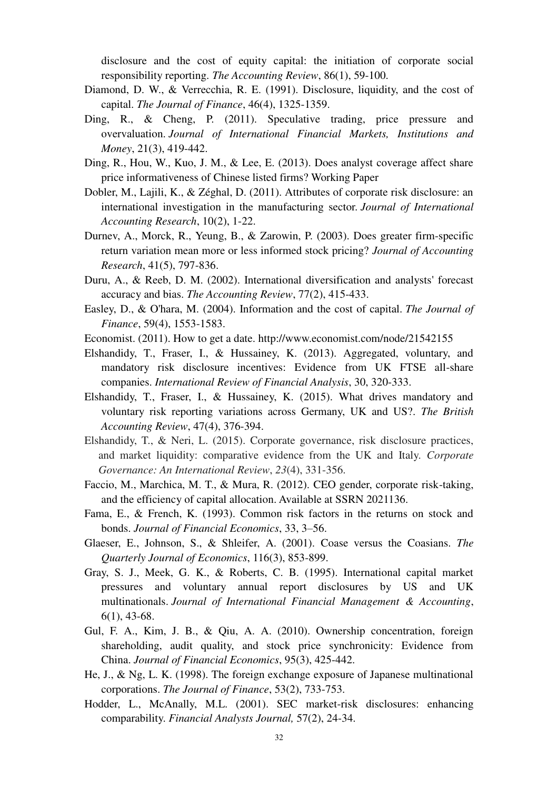disclosure and the cost of equity capital: the initiation of corporate social responsibility reporting. *The Accounting Review*, 86(1), 59-100.

- Diamond, D. W., & Verrecchia, R. E. (1991). Disclosure, liquidity, and the cost of capital. *The Journal of Finance*, 46(4), 1325-1359.
- Ding, R., & Cheng, P. (2011). Speculative trading, price pressure and overvaluation. *Journal of International Financial Markets, Institutions and Money*, 21(3), 419-442.
- Ding, R., Hou, W., Kuo, J. M., & Lee, E. (2013). Does analyst coverage affect share price informativeness of Chinese listed firms? Working Paper
- Dobler, M., Lajili, K., & Zéghal, D. (2011). Attributes of corporate risk disclosure: an international investigation in the manufacturing sector. *Journal of International Accounting Research*, 10(2), 1-22.
- Durnev, A., Morck, R., Yeung, B., & Zarowin, P. (2003). Does greater firm-specific return variation mean more or less informed stock pricing? *Journal of Accounting Research*, 41(5), 797-836.
- Duru, A., & Reeb, D. M. (2002). International diversification and analysts' forecast accuracy and bias. *The Accounting Review*, 77(2), 415-433.
- Easley, D., & O'hara, M. (2004). Information and the cost of capital. *The Journal of Finance*, 59(4), 1553-1583.
- Economist. (2011). How to get a date.<http://www.economist.com/node/21542155>
- Elshandidy, T., Fraser, I., & Hussainey, K. (2013). Aggregated, voluntary, and mandatory risk disclosure incentives: Evidence from UK FTSE all-share companies. *International Review of Financial Analysis*, 30, 320-333.
- Elshandidy, T., Fraser, I., & Hussainey, K. (2015). What drives mandatory and voluntary risk reporting variations across Germany, UK and US?. *The British Accounting Review*, 47(4), 376-394.
- Elshandidy, T., & Neri, L. (2015). Corporate governance, risk disclosure practices, and market liquidity: comparative evidence from the UK and Italy. *Corporate Governance: An International Review*, *23*(4), 331-356.
- Faccio, M., Marchica, M. T., & Mura, R. (2012). CEO gender, corporate risk-taking, and the efficiency of capital allocation. Available at SSRN 2021136.
- Fama, E., & French, K. (1993). Common risk factors in the returns on stock and bonds. *Journal of Financial Economics*, 33, 3–56.
- Glaeser, E., Johnson, S., & Shleifer, A. (2001). Coase versus the Coasians. *The Quarterly Journal of Economics*, 116(3), 853-899.
- Gray, S. J., Meek, G. K., & Roberts, C. B. (1995). International capital market pressures and voluntary annual report disclosures by US and UK multinationals. *Journal of International Financial Management & Accounting*, 6(1), 43-68.
- Gul, F. A., Kim, J. B., & Qiu, A. A. (2010). Ownership concentration, foreign shareholding, audit quality, and stock price synchronicity: Evidence from China. *Journal of Financial Economics*, 95(3), 425-442.
- He, J., & Ng, L. K. (1998). The foreign exchange exposure of Japanese multinational corporations. *The Journal of Finance*, 53(2), 733-753.
- Hodder, L., McAnally, M.L. (2001). SEC market-risk disclosures: enhancing comparability. *Financial Analysts Journal,* 57(2), 24-34.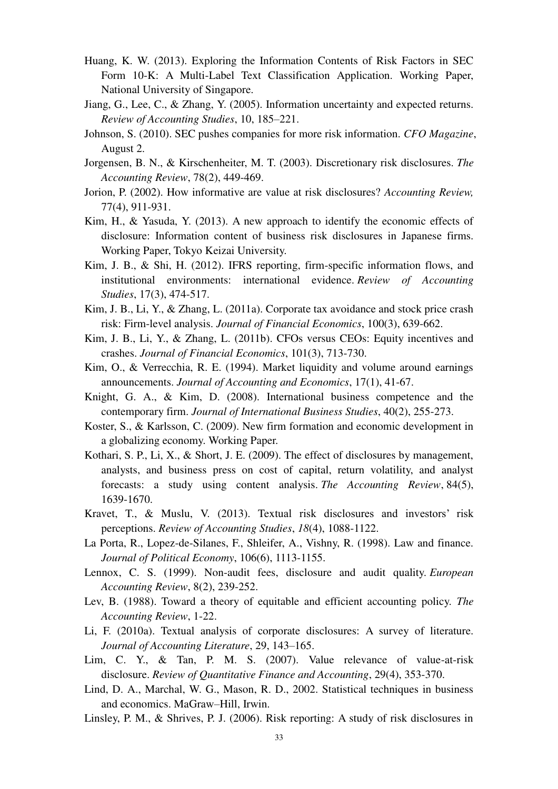- Huang, K. W. (2013). Exploring the Information Contents of Risk Factors in SEC Form 10-K: A Multi-Label Text Classification Application. Working Paper, National University of Singapore.
- Jiang, G., Lee, C., & Zhang, Y. (2005). Information uncertainty and expected returns. *Review of Accounting Studies*, 10, 185–221.
- Johnson, S. (2010). SEC pushes companies for more risk information. *CFO Magazine*, August 2.
- Jorgensen, B. N., & Kirschenheiter, M. T. (2003). Discretionary risk disclosures. *The Accounting Review*, 78(2), 449-469.
- Jorion, P. (2002). How informative are value at risk disclosures? *Accounting Review,*  77(4), 911-931.
- Kim, H., & Yasuda, Y. (2013). A new approach to identify the economic effects of disclosure: Information content of business risk disclosures in Japanese firms. Working Paper, Tokyo Keizai University.
- Kim, J. B., & Shi, H. (2012). IFRS reporting, firm-specific information flows, and institutional environments: international evidence. *Review of Accounting Studies*, 17(3), 474-517.
- Kim, J. B., Li, Y., & Zhang, L. (2011a). Corporate tax avoidance and stock price crash risk: Firm-level analysis. *Journal of Financial Economics*, 100(3), 639-662.
- Kim, J. B., Li, Y., & Zhang, L. (2011b). CFOs versus CEOs: Equity incentives and crashes. *Journal of Financial Economics*, 101(3), 713-730.
- Kim, O., & Verrecchia, R. E. (1994). Market liquidity and volume around earnings announcements. *Journal of Accounting and Economics*, 17(1), 41-67.
- Knight, G. A., & Kim, D. (2008). International business competence and the contemporary firm. *Journal of International Business Studies*, 40(2), 255-273.
- Koster, S., & Karlsson, C. (2009). New firm formation and economic development in a globalizing economy. Working Paper.
- Kothari, S. P., Li, X., & Short, J. E. (2009). The effect of disclosures by management, analysts, and business press on cost of capital, return volatility, and analyst forecasts: a study using content analysis. *The Accounting Review*, 84(5), 1639-1670.
- Kravet, T., & Muslu, V. (2013). Textual risk disclosures and investors' risk perceptions. *Review of Accounting Studies*, *18*(4), 1088-1122.
- La Porta, R., Lopez-de-Silanes, F., Shleifer, A., Vishny, R. (1998). Law and finance. *Journal of Political Economy*, 106(6), 1113-1155.
- Lennox, C. S. (1999). Non-audit fees, disclosure and audit quality. *European Accounting Review*, 8(2), 239-252.
- Lev, B. (1988). Toward a theory of equitable and efficient accounting policy. *The Accounting Review*, 1-22.
- Li, F. (2010a). Textual analysis of corporate disclosures: A survey of literature. *Journal of Accounting Literature*, 29, 143–165.
- Lim, C. Y., & Tan, P. M. S. (2007). Value relevance of value-at-risk disclosure. *Review of Quantitative Finance and Accounting*, 29(4), 353-370.
- Lind, D. A., Marchal, W. G., Mason, R. D., 2002. Statistical techniques in business and economics. MaGraw–Hill, Irwin.
- Linsley, P. M., & Shrives, P. J. (2006). Risk reporting: A study of risk disclosures in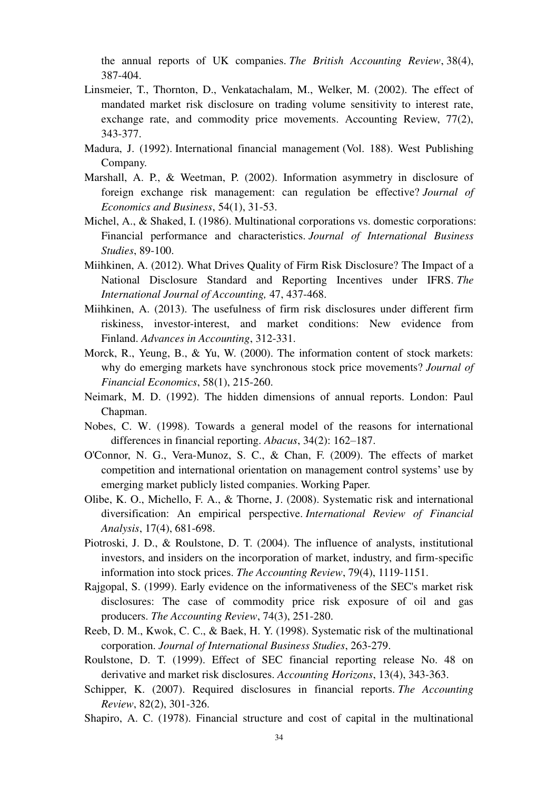the annual reports of UK companies. *The British Accounting Review*, 38(4), 387-404.

- Linsmeier, T., Thornton, D., Venkatachalam, M., Welker, M. (2002). The effect of mandated market risk disclosure on trading volume sensitivity to interest rate, exchange rate, and commodity price movements. Accounting Review, 77(2), 343-377.
- Madura, J. (1992). International financial management (Vol. 188). West Publishing Company.
- Marshall, A. P., & Weetman, P. (2002). Information asymmetry in disclosure of foreign exchange risk management: can regulation be effective? *Journal of Economics and Business*, 54(1), 31-53.
- Michel, A., & Shaked, I. (1986). Multinational corporations vs. domestic corporations: Financial performance and characteristics. *Journal of International Business Studies*, 89-100.
- Miihkinen, A. (2012). What Drives Quality of Firm Risk Disclosure? The Impact of a National Disclosure Standard and Reporting Incentives under IFRS. *The International Journal of Accounting,* 47, 437-468.
- Miihkinen, A. (2013). The usefulness of firm risk disclosures under different firm riskiness, investor-interest, and market conditions: New evidence from Finland. *Advances in Accounting*, 312-331.
- Morck, R., Yeung, B., & Yu, W. (2000). The information content of stock markets: why do emerging markets have synchronous stock price movements? *Journal of Financial Economics*, 58(1), 215-260.
- Neimark, M. D. (1992). The hidden dimensions of annual reports. London: Paul Chapman.
- Nobes, C. W. (1998). Towards a general model of the reasons for international differences in financial reporting. *Abacus*, 34(2): 162–187.
- O'Connor, N. G., Vera-Munoz, S. C., & Chan, F. (2009). The effects of market competition and international orientation on management control systems' use by emerging market publicly listed companies. Working Paper.
- Olibe, K. O., Michello, F. A., & Thorne, J. (2008). Systematic risk and international diversification: An empirical perspective. *International Review of Financial Analysis*, 17(4), 681-698.
- Piotroski, J. D., & Roulstone, D. T. (2004). The influence of analysts, institutional investors, and insiders on the incorporation of market, industry, and firm-specific information into stock prices. *The Accounting Review*, 79(4), 1119-1151.
- Rajgopal, S. (1999). Early evidence on the informativeness of the SEC's market risk disclosures: The case of commodity price risk exposure of oil and gas producers. *The Accounting Review*, 74(3), 251-280.
- Reeb, D. M., Kwok, C. C., & Baek, H. Y. (1998). Systematic risk of the multinational corporation. *Journal of International Business Studies*, 263-279.
- Roulstone, D. T. (1999). Effect of SEC financial reporting release No. 48 on derivative and market risk disclosures. *Accounting Horizons*, 13(4), 343-363.
- Schipper, K. (2007). Required disclosures in financial reports. *The Accounting Review*, 82(2), 301-326.
- Shapiro, A. C. (1978). Financial structure and cost of capital in the multinational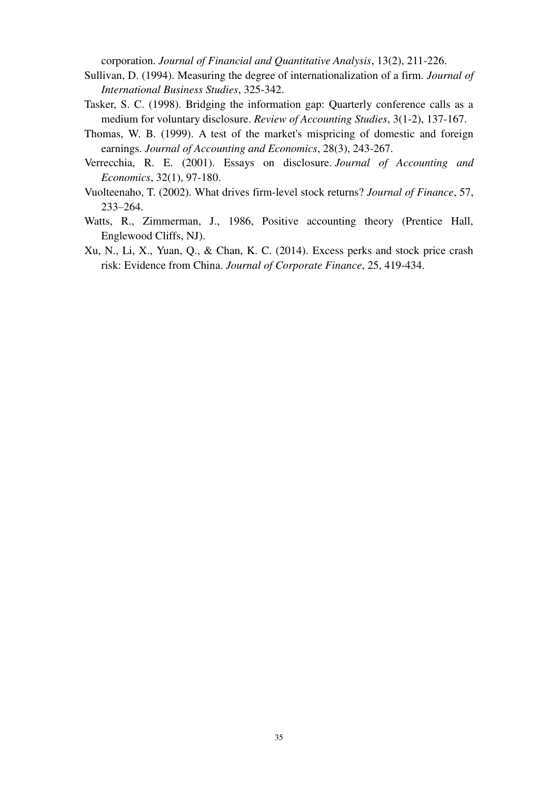corporation. *Journal of Financial and Quantitative Analysis*, 13(2), 211-226.

- Sullivan, D. (1994). Measuring the degree of internationalization of a firm. *Journal of International Business Studies*, 325-342.
- Tasker, S. C. (1998). Bridging the information gap: Quarterly conference calls as a medium for voluntary disclosure. *Review of Accounting Studies*, 3(1-2), 137-167.
- Thomas, W. B. (1999). A test of the market's mispricing of domestic and foreign earnings. *Journal of Accounting and Economics*, 28(3), 243-267.
- Verrecchia, R. E. (2001). Essays on disclosure. *Journal of Accounting and Economics*, 32(1), 97-180.
- Vuolteenaho, T. (2002). What drives firm-level stock returns? *Journal of Finance*, 57, 233–264.
- Watts, R., Zimmerman, J., 1986, Positive accounting theory (Prentice Hall, Englewood Cliffs, NJ).
- Xu, N., Li, X., Yuan, Q., & Chan, K. C. (2014). Excess perks and stock price crash risk: Evidence from China. *Journal of Corporate Finance*, 25, 419-434.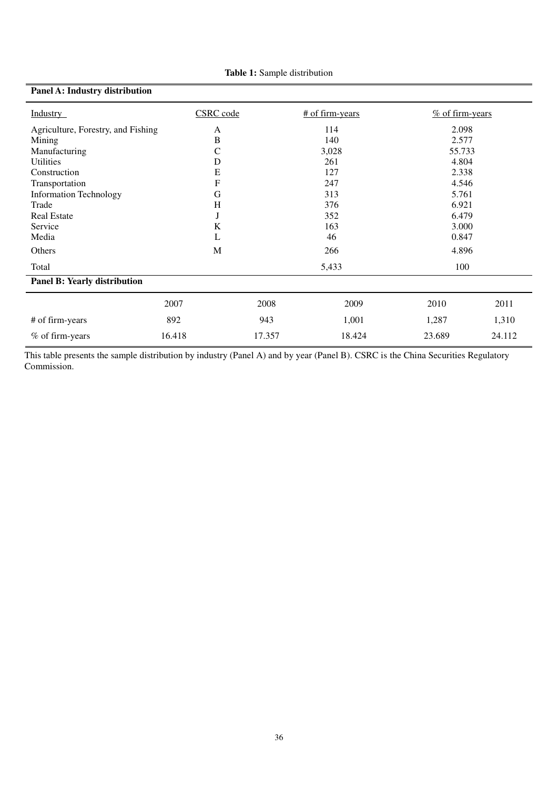|  |  | <b>Table 1:</b> Sample distribution |
|--|--|-------------------------------------|
|--|--|-------------------------------------|

| <b>Industry</b>                     | CSRC code     |        | # of firm-years | % of firm-years |        |  |
|-------------------------------------|---------------|--------|-----------------|-----------------|--------|--|
|                                     |               |        |                 |                 |        |  |
| Agriculture, Forestry, and Fishing  | A             |        | 114             | 2.098           |        |  |
| Mining                              | B             |        | 140             | 2.577           |        |  |
| Manufacturing                       | $\mathcal{C}$ |        | 3,028           | 55.733          |        |  |
| <b>Utilities</b>                    | D             |        | 261             | 4.804           |        |  |
| Construction                        | E             |        | 127             | 2.338           |        |  |
| Transportation                      | $\mathbf F$   |        | 247             | 4.546           |        |  |
| <b>Information Technology</b>       | G             |        | 313             | 5.761           |        |  |
| Trade                               | H             |        | 376             | 6.921           |        |  |
| <b>Real Estate</b>                  | J             |        | 352             | 6.479           |        |  |
| Service                             | K             |        | 163             | 3.000           |        |  |
| Media                               | L             |        | 46              | 0.847           |        |  |
| Others                              | M             |        | 266             | 4.896           |        |  |
| Total                               |               |        | 5,433           | 100             |        |  |
| <b>Panel B: Yearly distribution</b> |               |        |                 |                 |        |  |
|                                     | 2007          | 2008   | 2009            | 2010            | 2011   |  |
| # of firm-years                     | 892           | 943    | 1,001           | 1,287           | 1,310  |  |
| % of firm-years                     | 16.418        | 17.357 | 18.424          | 23.689          | 24.112 |  |

This table presents the sample distribution by industry (Panel A) and by year (Panel B). CSRC is the China Securities Regulatory Commission.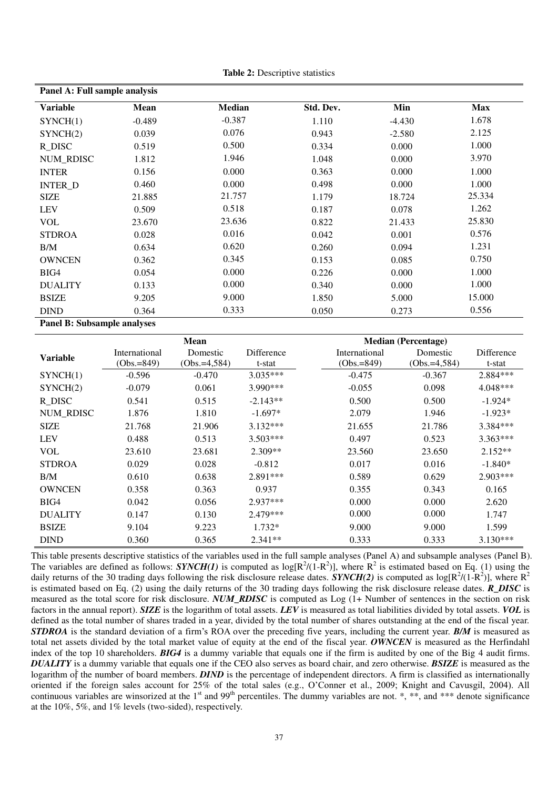| <b>Table 2:</b> Descriptive statistics |  |
|----------------------------------------|--|
|                                        |  |

| Panel A: Full sample analysis      |             |               |           |          |            |
|------------------------------------|-------------|---------------|-----------|----------|------------|
| <b>Variable</b>                    | <b>Mean</b> | <b>Median</b> | Std. Dev. | Min      | <b>Max</b> |
| SYNCH(1)                           | $-0.489$    | $-0.387$      | 1.110     | $-4.430$ | 1.678      |
| SYNCH(2)                           | 0.039       | 0.076         | 0.943     | $-2.580$ | 2.125      |
| R_DISC                             | 0.519       | 0.500         | 0.334     | 0.000    | 1.000      |
| NUM_RDISC                          | 1.812       | 1.946         | 1.048     | 0.000    | 3.970      |
| <b>INTER</b>                       | 0.156       | 0.000         | 0.363     | 0.000    | 1.000      |
| <b>INTER D</b>                     | 0.460       | 0.000         | 0.498     | 0.000    | 1.000      |
| <b>SIZE</b>                        | 21.885      | 21.757        | 1.179     | 18.724   | 25.334     |
| <b>LEV</b>                         | 0.509       | 0.518         | 0.187     | 0.078    | 1.262      |
| <b>VOL</b>                         | 23.670      | 23.636        | 0.822     | 21.433   | 25.830     |
| <b>STDROA</b>                      | 0.028       | 0.016         | 0.042     | 0.001    | 0.576      |
| B/M                                | 0.634       | 0.620         | 0.260     | 0.094    | 1.231      |
| <b>OWNCEN</b>                      | 0.362       | 0.345         | 0.153     | 0.085    | 0.750      |
| BIG4                               | 0.054       | 0.000         | 0.226     | 0.000    | 1.000      |
| <b>DUALITY</b>                     | 0.133       | 0.000         | 0.340     | 0.000    | 1.000      |
| <b>BSIZE</b>                       | 9.205       | 9.000         | 1.850     | 5.000    | 15.000     |
| <b>DIND</b>                        | 0.364       | 0.333         | 0.050     | 0.273    | 0.556      |
| <b>Panel B: Subsample analyses</b> |             |               |           |          |            |

|                  |               | <b>Mean</b>      |            |               | <b>Median (Percentage)</b> |                   |  |
|------------------|---------------|------------------|------------|---------------|----------------------------|-------------------|--|
| <b>Variable</b>  | International | Domestic         | Difference | International | Domestic                   | <b>Difference</b> |  |
|                  | $(Obs = 849)$ | $(Obs. = 4.584)$ | t-stat     | $(Obs = 849)$ | $(Obs. = 4, 584)$          | t-stat            |  |
| SYNCH(1)         | $-0.596$      | $-0.470$         | $3.035***$ | $-0.475$      | $-0.367$                   | 2.884***          |  |
| SYNCH(2)         | $-0.079$      | 0.061            | $3.990***$ | $-0.055$      | 0.098                      | $4.048***$        |  |
| R_DISC           | 0.541         | 0.515            | $-2.143**$ | 0.500         | 0.500                      | $-1.924*$         |  |
| <b>NUM RDISC</b> | 1.876         | 1.810            | $-1.697*$  | 2.079         | 1.946                      | $-1.923*$         |  |
| <b>SIZE</b>      | 21.768        | 21.906           | $3.132***$ | 21.655        | 21.786                     | 3.384***          |  |
| <b>LEV</b>       | 0.488         | 0.513            | $3.503***$ | 0.497         | 0.523                      | $3.363***$        |  |
| VOL              | 23.610        | 23.681           | $2.309**$  | 23.560        | 23.650                     | $2.152**$         |  |
| <b>STDROA</b>    | 0.029         | 0.028            | $-0.812$   | 0.017         | 0.016                      | $-1.840*$         |  |
| B/M              | 0.610         | 0.638            | $2.891***$ | 0.589         | 0.629                      | $2.903***$        |  |
| <b>OWNCEN</b>    | 0.358         | 0.363            | 0.937      | 0.355         | 0.343                      | 0.165             |  |
| BIG4             | 0.042         | 0.056            | 2.937***   | 0.000         | 0.000                      | 2.620             |  |
| <b>DUALITY</b>   | 0.147         | 0.130            | $2.479***$ | 0.000         | 0.000                      | 1.747             |  |
| <b>BSIZE</b>     | 9.104         | 9.223            | $1.732*$   | 9.000         | 9.000                      | 1.599             |  |
| <b>DIND</b>      | 0.360         | 0.365            | $2.341**$  | 0.333         | 0.333                      | $3.130***$        |  |

This table presents descriptive statistics of the variables used in the full sample analyses (Panel A) and subsample analyses (Panel B). The variables are defined as follows: **SYNCH(1)** is computed as  $log[R^2/(1-R^2)]$ , where  $R^2$  is estimated based on Eq. (1) using the daily returns of the 30 trading days following the risk disclosure release dates. **SYNCH(2)** is computed as  $log[R^2/(1-R^2)]$ , where  $R^2$ is estimated based on Eq. (2) using the daily returns of the 30 trading days following the risk disclosure release dates. *R\_DISC* is measured as the total score for risk disclosure. *NUM\_RDISC* is computed as Log (1+ Number of sentences in the section on risk factors in the annual report). *SIZE* is the logarithm of total assets. *LEV* is measured as total liabilities divided by total assets. *VOL* is defined as the total number of shares traded in a year, divided by the total number of shares outstanding at the end of the fiscal year. *STDROA* is the standard deviation of a firm's ROA over the preceding five years, including the current year. *B/M* is measured as total net assets divided by the total market value of equity at the end of the fiscal year. *OWNCEN* is measured as the Herfindahl index of the top 10 shareholders. *BIG4* is a dummy variable that equals one if the firm is audited by one of the Big 4 audit firms. *DUALITY* is a dummy variable that equals one if the CEO also serves as board chair, and zero otherwise. *BSIZE* is measured as the logarithm of the number of board members. **DIND** is the percentage of independent directors. A firm is classified as internationally oriented if the foreign sales account for 25% of the total sales (e.g., O'Conner et al., 2009; Knight and Cavusgil, 2004). All continuous variables are winsorized at the 1<sup>st</sup> and 99<sup>th</sup> percentiles. The dummy variables are not. \*, \*\*, and \*\*\* denote significance at the 10%, 5%, and 1% levels (two-sided), respectively.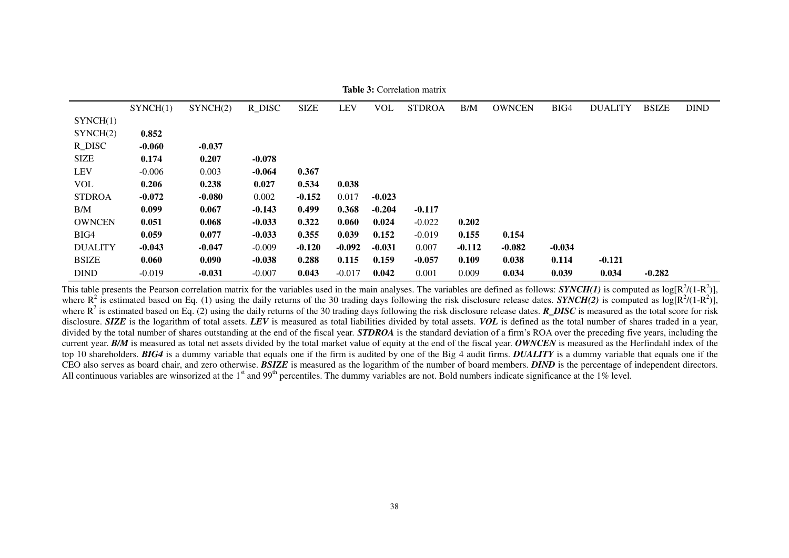|                | SYNCH(1) | SYNCH(2) | R_DISC   | <b>SIZE</b> | <b>LEV</b> | VOL      | <b>STDROA</b> | B/M      | <b>OWNCEN</b> | BIG4     | <b>DUALITY</b> | <b>BSIZE</b> | <b>DIND</b> |
|----------------|----------|----------|----------|-------------|------------|----------|---------------|----------|---------------|----------|----------------|--------------|-------------|
| SYNCH(1)       |          |          |          |             |            |          |               |          |               |          |                |              |             |
| SYNCH(2)       | 0.852    |          |          |             |            |          |               |          |               |          |                |              |             |
| R_DISC         | $-0.060$ | $-0.037$ |          |             |            |          |               |          |               |          |                |              |             |
| SIZE           | 0.174    | 0.207    | $-0.078$ |             |            |          |               |          |               |          |                |              |             |
| <b>LEV</b>     | $-0.006$ | 0.003    | $-0.064$ | 0.367       |            |          |               |          |               |          |                |              |             |
| <b>VOL</b>     | 0.206    | 0.238    | 0.027    | 0.534       | 0.038      |          |               |          |               |          |                |              |             |
| <b>STDROA</b>  | $-0.072$ | $-0.080$ | 0.002    | $-0.152$    | 0.017      | $-0.023$ |               |          |               |          |                |              |             |
| B/M            | 0.099    | 0.067    | $-0.143$ | 0.499       | 0.368      | $-0.204$ | $-0.117$      |          |               |          |                |              |             |
| <b>OWNCEN</b>  | 0.051    | 0.068    | $-0.033$ | 0.322       | 0.060      | 0.024    | $-0.022$      | 0.202    |               |          |                |              |             |
| BIG4           | 0.059    | 0.077    | $-0.033$ | 0.355       | 0.039      | 0.152    | $-0.019$      | 0.155    | 0.154         |          |                |              |             |
| <b>DUALITY</b> | $-0.043$ | $-0.047$ | $-0.009$ | $-0.120$    | $-0.092$   | $-0.031$ | 0.007         | $-0.112$ | $-0.082$      | $-0.034$ |                |              |             |
| <b>BSIZE</b>   | 0.060    | 0.090    | $-0.038$ | 0.288       | 0.115      | 0.159    | $-0.057$      | 0.109    | 0.038         | 0.114    | $-0.121$       |              |             |
| <b>DIND</b>    | $-0.019$ | $-0.031$ | $-0.007$ | 0.043       | $-0.017$   | 0.042    | 0.001         | 0.009    | 0.034         | 0.039    | 0.034          | $-0.282$     |             |

**Table 3:** Correlation matrix

This table presents the Pearson correlation matrix for the variables used in the main analyses. The variables are defined as follows: *SYNCH(1)* is computed as  $log[R^2/(1-R^2)]$ , where  $R^2$  is estimated based on Eq. (1) using the daily returns of the 30 trading days following the risk disclosure release dates. **SYNCH(2)** is computed as  $log[R^2/(1-R^2)]$ , where  $R^2$  is estimated based on Eq. (2) using the daily returns of the 30 trading days following the risk disclosure release dates. *R\_DISC* is measured as the total score for risk disclosure. **SIZE** is the logarithm of total assets. *LEV* is measured as total liabilities divided by total assets. *VOL* is defined as the total number of shares traded in a year, divided by the total number of shares outstanding at the end of the fiscal year. *STDROA* is the standard deviation of a firm's ROA over the preceding five years, including the current year. *B/M* is measured as total net assets divided by the total market value of equity at the end of the fiscal year. *OWNCEN* is measured as the Herfindahl index of the top 10 shareholders. *BIG4* is a dummy variable that equals one if the firm is audited by one of the Big 4 audit firms. *DUALITY* is a dummy variable that equals one if the CEO also serves as board chair, and zero otherwise. *BSIZE* is measured as the logarithm of the number of board members. *DIND* is the percentage of independent directors. All continuous variables are winsorized at the 1<sup>st</sup> and 99<sup>th</sup> percentiles. The dummy variables are not. Bold numbers indicate significance at the 1% level.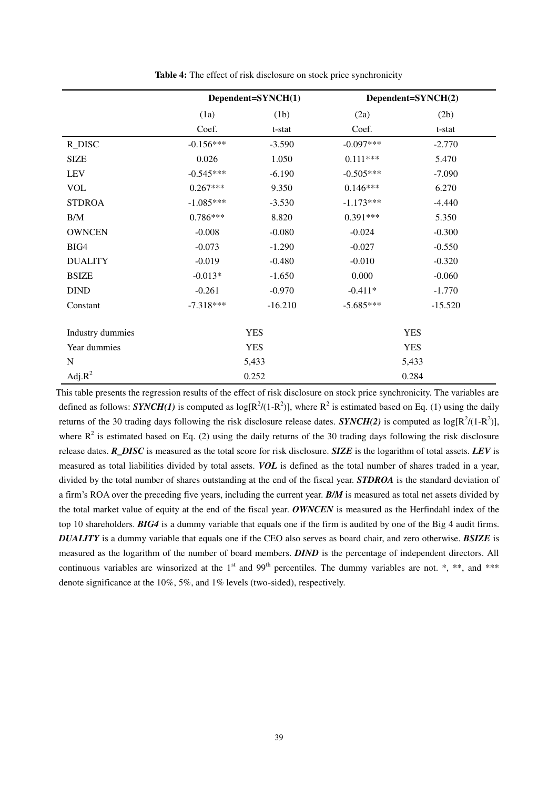|                  |             | Dependent=SYNCH(1) |             | Dependent=SYNCH(2) |
|------------------|-------------|--------------------|-------------|--------------------|
|                  | (1a)        | (1b)               | (2a)        | (2b)               |
|                  | Coef.       | t-stat             | Coef.       | t-stat             |
| R_DISC           | $-0.156***$ | $-3.590$           | $-0.097***$ | $-2.770$           |
| <b>SIZE</b>      | 0.026       | 1.050              | $0.111***$  | 5.470              |
| <b>LEV</b>       | $-0.545***$ | $-6.190$           | $-0.505***$ | $-7.090$           |
| <b>VOL</b>       | $0.267***$  | 9.350              | $0.146***$  | 6.270              |
| <b>STDROA</b>    | $-1.085***$ | $-3.530$           | $-1.173***$ | $-4.440$           |
| B/M              | $0.786***$  | 8.820              | $0.391***$  | 5.350              |
| <b>OWNCEN</b>    | $-0.008$    | $-0.080$           | $-0.024$    | $-0.300$           |
| BIG4             | $-0.073$    | $-1.290$           | $-0.027$    | $-0.550$           |
| <b>DUALITY</b>   | $-0.019$    | $-0.480$           | $-0.010$    | $-0.320$           |
| <b>BSIZE</b>     | $-0.013*$   | $-1.650$           | 0.000       | $-0.060$           |
| <b>DIND</b>      | $-0.261$    | $-0.970$           | $-0.411*$   | $-1.770$           |
| Constant         | $-7.318***$ | $-16.210$          | $-5.685***$ | $-15.520$          |
| Industry dummies |             | <b>YES</b>         |             | <b>YES</b>         |
| Year dummies     |             | <b>YES</b>         |             | <b>YES</b>         |
| $\mathbf N$      |             | 5,433              |             | 5,433              |
| Adj. $R^2$       |             | 0.252              |             | 0.284              |

**Table 4:** The effect of risk disclosure on stock price synchronicity

This table presents the regression results of the effect of risk disclosure on stock price synchronicity. The variables are defined as follows: **SYNCH(1)** is computed as  $log[R^2/(1-R^2)]$ , where  $R^2$  is estimated based on Eq. (1) using the daily returns of the 30 trading days following the risk disclosure release dates. *SYNCH(2)* is computed as  $log[R^2/(1-R^2)]$ , where  $R^2$  is estimated based on Eq. (2) using the daily returns of the 30 trading days following the risk disclosure release dates. *R\_DISC* is measured as the total score for risk disclosure. *SIZE* is the logarithm of total assets. *LEV* is measured as total liabilities divided by total assets. *VOL* is defined as the total number of shares traded in a year, divided by the total number of shares outstanding at the end of the fiscal year. *STDROA* is the standard deviation of a firm's ROA over the preceding five years, including the current year. *B/M* is measured as total net assets divided by the total market value of equity at the end of the fiscal year. *OWNCEN* is measured as the Herfindahl index of the top 10 shareholders. *BIG4* is a dummy variable that equals one if the firm is audited by one of the Big 4 audit firms. *DUALITY* is a dummy variable that equals one if the CEO also serves as board chair, and zero otherwise. *BSIZE* is measured as the logarithm of the number of board members. *DIND* is the percentage of independent directors. All continuous variables are winsorized at the  $1<sup>st</sup>$  and  $99<sup>th</sup>$  percentiles. The dummy variables are not. \*, \*\*, and \*\*\* denote significance at the 10%, 5%, and 1% levels (two-sided), respectively.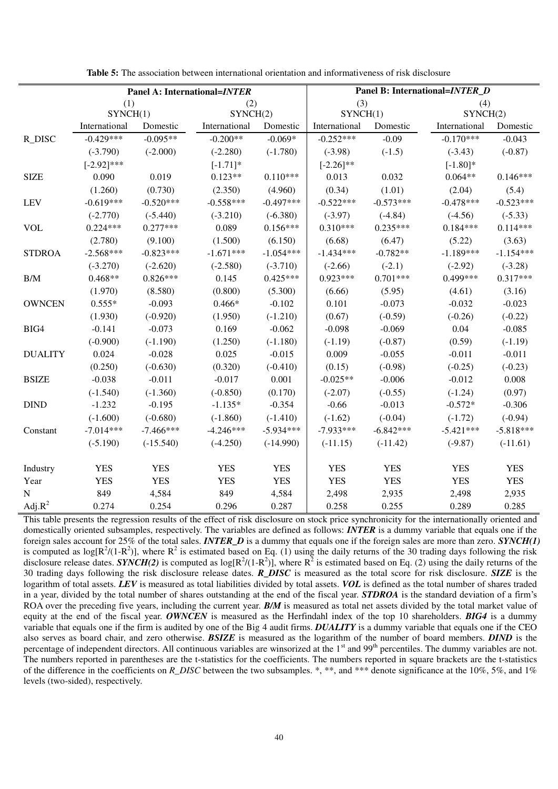|                | <b>Panel A: International=INTER</b> |             |               |             | Panel B: International=INTER_D |             |               |             |
|----------------|-------------------------------------|-------------|---------------|-------------|--------------------------------|-------------|---------------|-------------|
|                | (1)                                 |             | (2)           |             | (3)                            |             | (4)           |             |
|                | SYNCH(1)                            |             | SYNCH(2)      |             | SYNCH(1)                       |             | SYNCH(2)      |             |
|                | International                       | Domestic    | International | Domestic    | International                  | Domestic    | International | Domestic    |
| R_DISC         | $-0.429***$                         | $-0.095**$  | $-0.200**$    | $-0.069*$   | $-0.252***$                    | $-0.09$     | $-0.170***$   | $-0.043$    |
|                | $(-3.790)$                          | $(-2.000)$  | $(-2.280)$    | $(-1.780)$  | $(-3.98)$                      | $(-1.5)$    | $(-3.43)$     | $(-0.87)$   |
|                | $[-2.92]$ ***                       |             | $[-1.71]$ *   |             | $[-2.26]$ **                   |             | $[-1.80]$ *   |             |
| <b>SIZE</b>    | 0.090                               | 0.019       | $0.123**$     | $0.110***$  | 0.013                          | 0.032       | $0.064**$     | $0.146***$  |
|                | (1.260)                             | (0.730)     | (2.350)       | (4.960)     | (0.34)                         | (1.01)      | (2.04)        | (5.4)       |
| <b>LEV</b>     | $-0.619***$                         | $-0.520***$ | $-0.558***$   | $-0.497***$ | $-0.522***$                    | $-0.573***$ | $-0.478***$   | $-0.523***$ |
|                | $(-2.770)$                          | $(-5.440)$  | $(-3.210)$    | $(-6.380)$  | $(-3.97)$                      | $(-4.84)$   | $(-4.56)$     | $(-5.33)$   |
| <b>VOL</b>     | $0.224***$                          | $0.277***$  | 0.089         | $0.156***$  | $0.310***$                     | $0.235***$  | $0.184***$    | $0.114***$  |
|                | (2.780)                             | (9.100)     | (1.500)       | (6.150)     | (6.68)                         | (6.47)      | (5.22)        | (3.63)      |
| <b>STDROA</b>  | $-2.568***$                         | $-0.823***$ | $-1.671***$   | $-1.054***$ | $-1.434***$                    | $-0.782**$  | $-1.189***$   | $-1.154***$ |
|                | $(-3.270)$                          | $(-2.620)$  | $(-2.580)$    | $(-3.710)$  | $(-2.66)$                      | $(-2.1)$    | $(-2.92)$     | $(-3.28)$   |
| B/M            | $0.468**$                           | $0.826***$  | 0.145         | $0.425***$  | $0.923***$                     | $0.701***$  | $0.499***$    | $0.317***$  |
|                | (1.970)                             | (8.580)     | (0.800)       | (5.300)     | (6.66)                         | (5.95)      | (4.61)        | (3.16)      |
| <b>OWNCEN</b>  | $0.555*$                            | $-0.093$    | $0.466*$      | $-0.102$    | 0.101                          | $-0.073$    | $-0.032$      | $-0.023$    |
|                | (1.930)                             | $(-0.920)$  | (1.950)       | $(-1.210)$  | (0.67)                         | $(-0.59)$   | $(-0.26)$     | $(-0.22)$   |
| BIG4           | $-0.141$                            | $-0.073$    | 0.169         | $-0.062$    | $-0.098$                       | $-0.069$    | 0.04          | $-0.085$    |
|                | $(-0.900)$                          | $(-1.190)$  | (1.250)       | $(-1.180)$  | $(-1.19)$                      | $(-0.87)$   | (0.59)        | $(-1.19)$   |
| <b>DUALITY</b> | 0.024                               | $-0.028$    | 0.025         | $-0.015$    | 0.009                          | $-0.055$    | $-0.011$      | $-0.011$    |
|                | (0.250)                             | $(-0.630)$  | (0.320)       | $(-0.410)$  | (0.15)                         | $(-0.98)$   | $(-0.25)$     | $(-0.23)$   |
| <b>BSIZE</b>   | $-0.038$                            | $-0.011$    | $-0.017$      | 0.001       | $-0.025**$                     | $-0.006$    | $-0.012$      | 0.008       |
|                | $(-1.540)$                          | $(-1.360)$  | $(-0.850)$    | (0.170)     | $(-2.07)$                      | $(-0.55)$   | $(-1.24)$     | (0.97)      |
| <b>DIND</b>    | $-1.232$                            | $-0.195$    | $-1.135*$     | $-0.354$    | $-0.66$                        | $-0.013$    | $-0.572*$     | $-0.306$    |
|                | $(-1.600)$                          | $(-0.680)$  | $(-1.860)$    | $(-1.410)$  | $(-1.62)$                      | $(-0.04)$   | $(-1.72)$     | $(-0.94)$   |
| Constant       | $-7.014***$                         | $-7.466***$ | $-4.246***$   | $-5.934***$ | $-7.933***$                    | $-6.842***$ | $-5.421***$   | $-5.818***$ |
|                | $(-5.190)$                          | $(-15.540)$ | $(-4.250)$    | $(-14.990)$ | $(-11.15)$                     | $(-11.42)$  | $(-9.87)$     | $(-11.61)$  |
|                |                                     |             |               |             |                                |             |               |             |
| Industry       | <b>YES</b>                          | <b>YES</b>  | <b>YES</b>    | <b>YES</b>  | <b>YES</b>                     | <b>YES</b>  | <b>YES</b>    | <b>YES</b>  |
| Year           | <b>YES</b>                          | <b>YES</b>  | <b>YES</b>    | <b>YES</b>  | <b>YES</b>                     | <b>YES</b>  | <b>YES</b>    | <b>YES</b>  |
| $\mathbf N$    | 849                                 | 4,584       | 849           | 4,584       | 2,498                          | 2,935       | 2,498         | 2,935       |
| Adj. $R^2$     | 0.274                               | 0.254       | 0.296         | 0.287       | 0.258                          | 0.255       | 0.289         | 0.285       |

**Table 5:** The association between international orientation and informativeness of risk disclosure

This table presents the regression results of the effect of risk disclosure on stock price synchronicity for the internationally oriented and domestically oriented subsamples, respectively. The variables are defined as follows: *INTER* is a dummy variable that equals one if the foreign sales account for 25% of the total sales. *INTER\_D* is a dummy that equals one if the foreign sales are more than zero. *SYNCH(1)* is computed as  $log[R^2/(1-R^2)]$ , where  $R^2$  is estimated based on Eq. (1) using the daily returns of the 30 trading days following the risk disclosure release dates. *SYNCH*(2) is computed as  $log[R^2/(1-R^2)]$ , where  $R^2$  is estimated based on Eq. (2) using the daily returns of the 30 trading days following the risk disclosure release dates. *R\_DISC* is measured as the total score for risk disclosure. *SIZE* is the logarithm of total assets. *LEV* is measured as total liabilities divided by total assets. *VOL* is defined as the total number of shares traded in a year, divided by the total number of shares outstanding at the end of the fiscal year. *STDROA* is the standard deviation of a firm's ROA over the preceding five years, including the current year. **B/M** is measured as total net assets divided by the total market value of equity at the end of the fiscal year. *OWNCEN* is measured as the Herfindahl index of the top 10 shareholders. *BIG4* is a dummy variable that equals one if the firm is audited by one of the Big 4 audit firms. *DUALITY* is a dummy variable that equals one if the CEO also serves as board chair, and zero otherwise. *BSIZE* is measured as the logarithm of the number of board members. *DIND* is the percentage of independent directors. All continuous variables are winsorized at the 1<sup>st</sup> and 99<sup>th</sup> percentiles. The dummy variables are not. The numbers reported in parentheses are the t-statistics for the coefficients. The numbers reported in square brackets are the t-statistics of the difference in the coefficients on *R\_DISC* between the two subsamples. \*, \*\*, and \*\*\* denote significance at the 10%, 5%, and 1% levels (two-sided), respectively.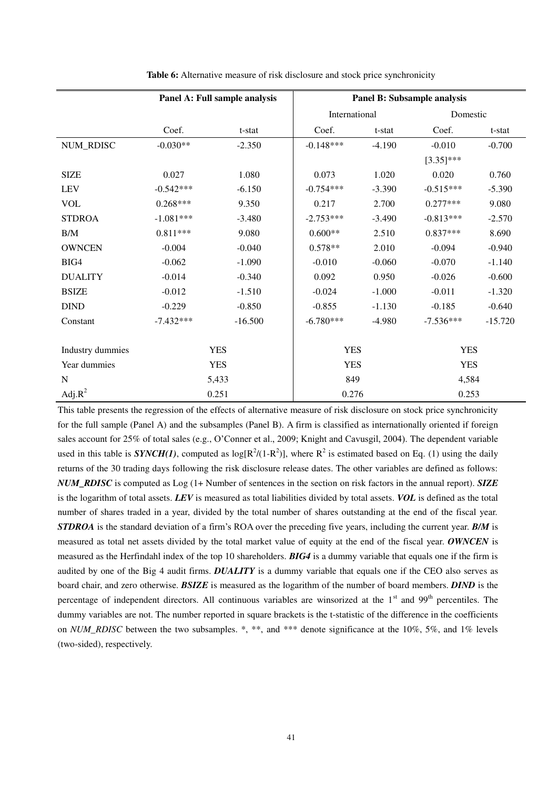|                  | Panel A: Full sample analysis |            | <b>Panel B: Subsample analysis</b> |          |              |           |  |
|------------------|-------------------------------|------------|------------------------------------|----------|--------------|-----------|--|
|                  |                               |            | International                      |          | Domestic     |           |  |
|                  | Coef.                         | t-stat     | Coef.                              | t-stat   | Coef.        | t-stat    |  |
| NUM_RDISC        | $-0.030**$                    | $-2.350$   | $-0.148***$                        | $-4.190$ | $-0.010$     | $-0.700$  |  |
|                  |                               |            |                                    |          | $[3.35]$ *** |           |  |
| <b>SIZE</b>      | 0.027                         | 1.080      | 0.073                              | 1.020    | 0.020        | 0.760     |  |
| <b>LEV</b>       | $-0.542***$                   | $-6.150$   | $-0.754***$                        | $-3.390$ | $-0.515***$  | $-5.390$  |  |
| <b>VOL</b>       | $0.268***$                    | 9.350      | 0.217                              | 2.700    | $0.277***$   | 9.080     |  |
| <b>STDROA</b>    | $-1.081***$                   | $-3.480$   | $-2.753***$                        | $-3.490$ | $-0.813***$  | $-2.570$  |  |
| B/M              | $0.811***$                    | 9.080      | $0.600**$                          | 2.510    | $0.837***$   | 8.690     |  |
| <b>OWNCEN</b>    | $-0.004$                      | $-0.040$   | $0.578**$                          | 2.010    | $-0.094$     | $-0.940$  |  |
| BIG4             | $-0.062$                      | $-1.090$   | $-0.010$                           | $-0.060$ | $-0.070$     | $-1.140$  |  |
| <b>DUALITY</b>   | $-0.014$                      | $-0.340$   | 0.092                              | 0.950    | $-0.026$     | $-0.600$  |  |
| <b>BSIZE</b>     | $-0.012$                      | $-1.510$   | $-0.024$                           | $-1.000$ | $-0.011$     | $-1.320$  |  |
| <b>DIND</b>      | $-0.229$                      | $-0.850$   | $-0.855$                           | $-1.130$ | $-0.185$     | $-0.640$  |  |
| Constant         | $-7.432***$                   | $-16.500$  | $-6.780***$                        | $-4.980$ | $-7.536***$  | $-15.720$ |  |
| Industry dummies |                               | <b>YES</b> | <b>YES</b>                         |          | <b>YES</b>   |           |  |
| Year dummies     |                               | <b>YES</b> | <b>YES</b>                         |          | <b>YES</b>   |           |  |
| $\mathbf N$      |                               | 5,433      | 849                                |          | 4,584        |           |  |
| Adj. $R^2$       |                               | 0.251      | 0.276                              |          | 0.253        |           |  |

**Table 6:** Alternative measure of risk disclosure and stock price synchronicity

This table presents the regression of the effects of alternative measure of risk disclosure on stock price synchronicity for the full sample (Panel A) and the subsamples (Panel B). A firm is classified as internationally oriented if foreign sales account for 25% of total sales (e.g., O'Conner et al., 2009; Knight and Cavusgil, 2004). The dependent variable used in this table is  $SYNCH(1)$ , computed as  $log[R^2/(1-R^2)]$ , where  $R^2$  is estimated based on Eq. (1) using the daily returns of the 30 trading days following the risk disclosure release dates. The other variables are defined as follows: *NUM\_RDISC* is computed as Log (1+ Number of sentences in the section on risk factors in the annual report). *SIZE* is the logarithm of total assets. *LEV* is measured as total liabilities divided by total assets. *VOL* is defined as the total number of shares traded in a year, divided by the total number of shares outstanding at the end of the fiscal year. *STDROA* is the standard deviation of a firm's ROA over the preceding five years, including the current year. *B/M* is measured as total net assets divided by the total market value of equity at the end of the fiscal year. *OWNCEN* is measured as the Herfindahl index of the top 10 shareholders. *BIG4* is a dummy variable that equals one if the firm is audited by one of the Big 4 audit firms. *DUALITY* is a dummy variable that equals one if the CEO also serves as board chair, and zero otherwise. *BSIZE* is measured as the logarithm of the number of board members. *DIND* is the percentage of independent directors. All continuous variables are winsorized at the  $1<sup>st</sup>$  and  $99<sup>th</sup>$  percentiles. The dummy variables are not. The number reported in square brackets is the t-statistic of the difference in the coefficients on *NUM\_RDISC* between the two subsamples. \*, \*\*, and \*\*\* denote significance at the 10%, 5%, and 1% levels (two-sided), respectively.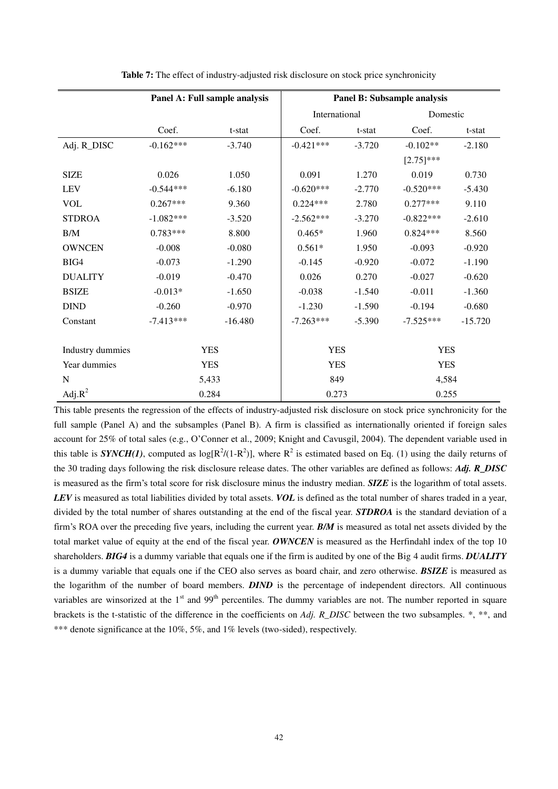|                  |             | Panel A: Full sample analysis | <b>Panel B: Subsample analysis</b> |          |              |           |  |
|------------------|-------------|-------------------------------|------------------------------------|----------|--------------|-----------|--|
|                  |             |                               | International                      |          | Domestic     |           |  |
|                  | Coef.       | t-stat                        | Coef.                              | t-stat   | Coef.        | t-stat    |  |
| Adj. R_DISC      | $-0.162***$ | $-3.740$                      | $-0.421***$                        | $-3.720$ | $-0.102**$   | $-2.180$  |  |
|                  |             |                               |                                    |          | $[2.75]$ *** |           |  |
| <b>SIZE</b>      | 0.026       | 1.050                         | 0.091                              | 1.270    | 0.019        | 0.730     |  |
| <b>LEV</b>       | $-0.544***$ | $-6.180$                      | $-0.620***$                        | $-2.770$ | $-0.520***$  | $-5.430$  |  |
| <b>VOL</b>       | $0.267***$  | 9.360                         | $0.224***$                         | 2.780    | $0.277***$   | 9.110     |  |
| <b>STDROA</b>    | $-1.082***$ | $-3.520$                      | $-2.562***$                        | $-3.270$ | $-0.822***$  | $-2.610$  |  |
| B/M              | $0.783***$  | 8.800                         | $0.465*$                           | 1.960    | $0.824***$   | 8.560     |  |
| <b>OWNCEN</b>    | $-0.008$    | $-0.080$                      | $0.561*$                           | 1.950    | $-0.093$     | $-0.920$  |  |
| BIG4             | $-0.073$    | $-1.290$                      | $-0.145$                           | $-0.920$ | $-0.072$     | $-1.190$  |  |
| <b>DUALITY</b>   | $-0.019$    | $-0.470$                      | 0.026                              | 0.270    | $-0.027$     | $-0.620$  |  |
| <b>BSIZE</b>     | $-0.013*$   | $-1.650$                      | $-0.038$                           | $-1.540$ | $-0.011$     | $-1.360$  |  |
| <b>DIND</b>      | $-0.260$    | $-0.970$                      | $-1.230$                           | $-1.590$ | $-0.194$     | $-0.680$  |  |
| Constant         | $-7.413***$ | $-16.480$                     | $-7.263***$                        | $-5.390$ | $-7.525***$  | $-15.720$ |  |
| Industry dummies |             | <b>YES</b>                    | <b>YES</b>                         |          | <b>YES</b>   |           |  |
| Year dummies     |             | <b>YES</b>                    | <b>YES</b>                         |          | <b>YES</b>   |           |  |
| $\mathbf N$      |             | 5,433                         | 849                                |          | 4,584        |           |  |
| Adj. $R^2$       |             | 0.284                         | 0.273                              |          | 0.255        |           |  |

**Table 7:** The effect of industry-adjusted risk disclosure on stock price synchronicity

This table presents the regression of the effects of industry-adjusted risk disclosure on stock price synchronicity for the full sample (Panel A) and the subsamples (Panel B). A firm is classified as internationally oriented if foreign sales account for 25% of total sales (e.g., O'Conner et al., 2009; Knight and Cavusgil, 2004). The dependent variable used in this table is *SYNCH(1)*, computed as  $log[R^2/(1-R^2)]$ , where  $R^2$  is estimated based on Eq. (1) using the daily returns of the 30 trading days following the risk disclosure release dates. The other variables are defined as follows: *Adj. R\_DISC* is measured as the firm's total score for risk disclosure minus the industry median. *SIZE* is the logarithm of total assets. *LEV* is measured as total liabilities divided by total assets. *VOL* is defined as the total number of shares traded in a year, divided by the total number of shares outstanding at the end of the fiscal year. *STDROA* is the standard deviation of a firm's ROA over the preceding five years, including the current year. *B/M* is measured as total net assets divided by the total market value of equity at the end of the fiscal year. *OWNCEN* is measured as the Herfindahl index of the top 10 shareholders. *BIG4* is a dummy variable that equals one if the firm is audited by one of the Big 4 audit firms. *DUALITY* is a dummy variable that equals one if the CEO also serves as board chair, and zero otherwise. *BSIZE* is measured as the logarithm of the number of board members. *DIND* is the percentage of independent directors. All continuous variables are winsorized at the  $1<sup>st</sup>$  and  $99<sup>th</sup>$  percentiles. The dummy variables are not. The number reported in square brackets is the t-statistic of the difference in the coefficients on *Adj. R\_DISC* between the two subsamples. \*, \*\*, and \*\*\* denote significance at the 10%, 5%, and 1% levels (two-sided), respectively.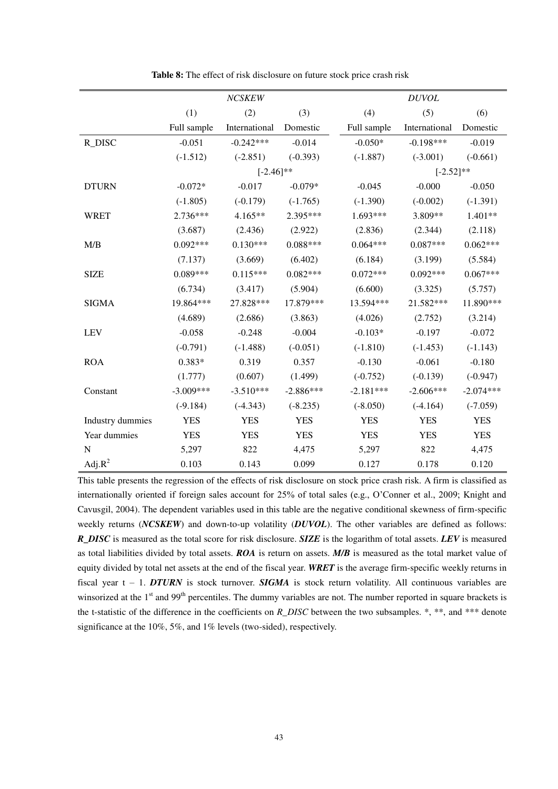|                  |             | <b>NCSKEW</b> |             |             | <b>DUVOL</b>  |             |
|------------------|-------------|---------------|-------------|-------------|---------------|-------------|
|                  | (1)         | (2)           | (3)         | (4)         | (5)           | (6)         |
|                  | Full sample | International | Domestic    | Full sample | International | Domestic    |
| R_DISC           | $-0.051$    | $-0.242***$   | $-0.014$    | $-0.050*$   | $-0.198***$   | $-0.019$    |
|                  | $(-1.512)$  | $(-2.851)$    | $(-0.393)$  | $(-1.887)$  | $(-3.001)$    | $(-0.661)$  |
|                  |             | $[-2.46]$ **  |             |             | $[-2.52]$ **  |             |
| <b>DTURN</b>     | $-0.072*$   | $-0.017$      | $-0.079*$   | $-0.045$    | $-0.000$      | $-0.050$    |
|                  | $(-1.805)$  | $(-0.179)$    | $(-1.765)$  | $(-1.390)$  | $(-0.002)$    | $(-1.391)$  |
| <b>WRET</b>      | 2.736***    | 4.165**       | 2.395***    | 1.693***    | 3.809**       | 1.401**     |
|                  | (3.687)     | (2.436)       | (2.922)     | (2.836)     | (2.344)       | (2.118)     |
| M/B              | $0.092***$  | $0.130***$    | $0.088***$  | $0.064***$  | $0.087***$    | $0.062***$  |
|                  | (7.137)     | (3.669)       | (6.402)     | (6.184)     | (3.199)       | (5.584)     |
| <b>SIZE</b>      | $0.089***$  | $0.115***$    | $0.082***$  | $0.072***$  | $0.092***$    | $0.067***$  |
|                  | (6.734)     | (3.417)       | (5.904)     | (6.600)     | (3.325)       | (5.757)     |
| <b>SIGMA</b>     | 19.864***   | 27.828***     | 17.879***   | 13.594***   | 21.582***     | 11.890***   |
|                  | (4.689)     | (2.686)       | (3.863)     | (4.026)     | (2.752)       | (3.214)     |
| <b>LEV</b>       | $-0.058$    | $-0.248$      | $-0.004$    | $-0.103*$   | $-0.197$      | $-0.072$    |
|                  | $(-0.791)$  | $(-1.488)$    | $(-0.051)$  | $(-1.810)$  | $(-1.453)$    | $(-1.143)$  |
| <b>ROA</b>       | $0.383*$    | 0.319         | 0.357       | $-0.130$    | $-0.061$      | $-0.180$    |
|                  | (1.777)     | (0.607)       | (1.499)     | $(-0.752)$  | $(-0.139)$    | $(-0.947)$  |
| Constant         | $-3.009***$ | $-3.510***$   | $-2.886***$ | $-2.181***$ | $-2.606***$   | $-2.074***$ |
|                  | $(-9.184)$  | $(-4.343)$    | $(-8.235)$  | $(-8.050)$  | $(-4.164)$    | $(-7.059)$  |
| Industry dummies | <b>YES</b>  | <b>YES</b>    | <b>YES</b>  | <b>YES</b>  | <b>YES</b>    | <b>YES</b>  |
| Year dummies     | <b>YES</b>  | <b>YES</b>    | <b>YES</b>  | <b>YES</b>  | <b>YES</b>    | <b>YES</b>  |
| $\mathbf N$      | 5,297       | 822           | 4,475       | 5,297       | 822           | 4,475       |
| Adj. $R^2$       | 0.103       | 0.143         | 0.099       | 0.127       | 0.178         | 0.120       |

**Table 8:** The effect of risk disclosure on future stock price crash risk

This table presents the regression of the effects of risk disclosure on stock price crash risk. A firm is classified as internationally oriented if foreign sales account for 25% of total sales (e.g., O'Conner et al., 2009; Knight and Cavusgil, 2004). The dependent variables used in this table are the negative conditional skewness of firm-specific weekly returns (*NCSKEW*) and down-to-up volatility (*DUVOL*). The other variables are defined as follows: *R\_DISC* is measured as the total score for risk disclosure. *SIZE* is the logarithm of total assets. *LEV* is measured as total liabilities divided by total assets. *ROA* is return on assets. *M/B* is measured as the total market value of equity divided by total net assets at the end of the fiscal year. *WRET* is the average firm-specific weekly returns in fiscal year t – 1. *DTURN* is stock turnover. *SIGMA* is stock return volatility. All continuous variables are winsorized at the 1<sup>st</sup> and 99<sup>th</sup> percentiles. The dummy variables are not. The number reported in square brackets is the t-statistic of the difference in the coefficients on *R\_DISC* between the two subsamples. \*, \*\*, and \*\*\* denote significance at the 10%, 5%, and 1% levels (two-sided), respectively.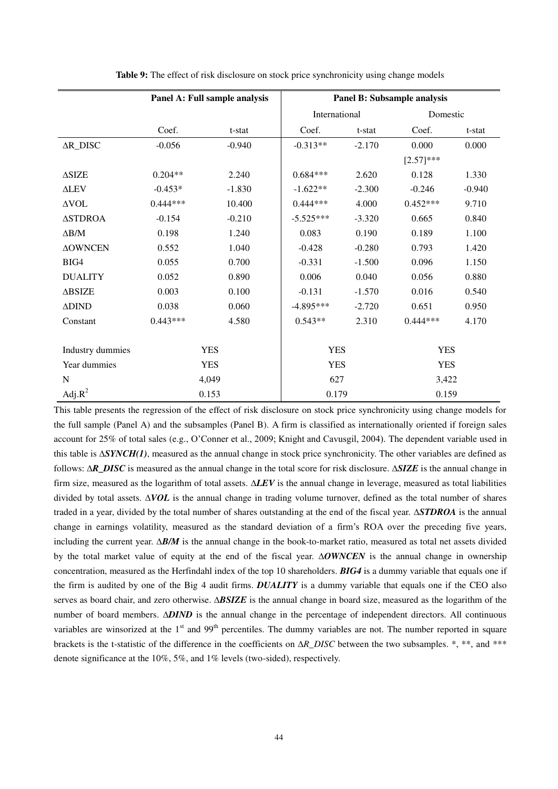|                       |            | Panel A: Full sample analysis | <b>Panel B: Subsample analysis</b> |          |              |          |  |
|-----------------------|------------|-------------------------------|------------------------------------|----------|--------------|----------|--|
|                       |            |                               | International                      |          | Domestic     |          |  |
|                       | Coef.      | t-stat                        | Coef.                              | t-stat   | Coef.        | t-stat   |  |
| ΔR_DISC               | $-0.056$   | $-0.940$                      | $-0.313**$                         | $-2.170$ | 0.000        | 0.000    |  |
|                       |            |                               |                                    |          | $[2.57]$ *** |          |  |
| $\triangle$ SIZE      | $0.204**$  | 2.240                         | $0.684***$                         | 2.620    | 0.128        | 1.330    |  |
| <b>ALEV</b>           | $-0.453*$  | $-1.830$                      | $-1.622**$                         | $-2.300$ | $-0.246$     | $-0.940$ |  |
| $\Delta \text{VOL}$   | $0.444***$ | 10.400                        | $0.444***$                         | 4.000    | $0.452***$   | 9.710    |  |
| <b>ASTDROA</b>        | $-0.154$   | $-0.210$                      | $-5.525***$                        | $-3.320$ | 0.665        | 0.840    |  |
| $\Delta$ B/M          | 0.198      | 1.240                         | 0.083                              | 0.190    | 0.189        | 1.100    |  |
| <b><i>AOWNCEN</i></b> | 0.552      | 1.040                         | $-0.428$                           | $-0.280$ | 0.793        | 1.420    |  |
| BIG4                  | 0.055      | 0.700                         | $-0.331$                           | $-1.500$ | 0.096        | 1.150    |  |
| <b>DUALITY</b>        | 0.052      | 0.890                         | 0.006                              | 0.040    | 0.056        | 0.880    |  |
| <b>ABSIZE</b>         | 0.003      | 0.100                         | $-0.131$                           | $-1.570$ | 0.016        | 0.540    |  |
| <b>ADIND</b>          | 0.038      | 0.060                         | $-4.895***$                        | $-2.720$ | 0.651        | 0.950    |  |
| Constant              | $0.443***$ | 4.580                         | $0.543**$                          | 2.310    | $0.444***$   | 4.170    |  |
| Industry dummies      |            | <b>YES</b>                    | <b>YES</b>                         |          | <b>YES</b>   |          |  |
| Year dummies          | <b>YES</b> |                               | <b>YES</b>                         |          | <b>YES</b>   |          |  |
| $\mathbf N$           | 4,049      |                               | 627                                |          | 3,422        |          |  |
| Adj. $R^2$            | 0.153      |                               | 0.179                              |          | 0.159        |          |  |

**Table 9:** The effect of risk disclosure on stock price synchronicity using change models

This table presents the regression of the effect of risk disclosure on stock price synchronicity using change models for the full sample (Panel A) and the subsamples (Panel B). A firm is classified as internationally oriented if foreign sales account for 25% of total sales (e.g., O'Conner et al., 2009; Knight and Cavusgil, 2004). The dependent variable used in this table is **∆***SYNCH(1)*, measured as the annual change in stock price synchronicity. The other variables are defined as follows: **∆***R\_DISC* is measured as the annual change in the total score for risk disclosure. **∆***SIZE* is the annual change in firm size, measured as the logarithm of total assets. **∆***LEV* is the annual change in leverage, measured as total liabilities divided by total assets. **∆***VOL* is the annual change in trading volume turnover, defined as the total number of shares traded in a year, divided by the total number of shares outstanding at the end of the fiscal year. **∆***STDROA* is the annual change in earnings volatility, measured as the standard deviation of a firm's ROA over the preceding five years, including the current year. **∆***B/M* is the annual change in the book-to-market ratio, measured as total net assets divided by the total market value of equity at the end of the fiscal year. **∆***OWNCEN* is the annual change in ownership concentration, measured as the Herfindahl index of the top 10 shareholders. *BIG4* is a dummy variable that equals one if the firm is audited by one of the Big 4 audit firms. *DUALITY* is a dummy variable that equals one if the CEO also serves as board chair, and zero otherwise. **∆***BSIZE* is the annual change in board size, measured as the logarithm of the number of board members. **∆***DIND* is the annual change in the percentage of independent directors. All continuous variables are winsorized at the  $1<sup>st</sup>$  and  $99<sup>th</sup>$  percentiles. The dummy variables are not. The number reported in square brackets is the t-statistic of the difference in the coefficients on **∆***R\_DISC* between the two subsamples. \*, \*\*, and \*\*\* denote significance at the 10%, 5%, and 1% levels (two-sided), respectively.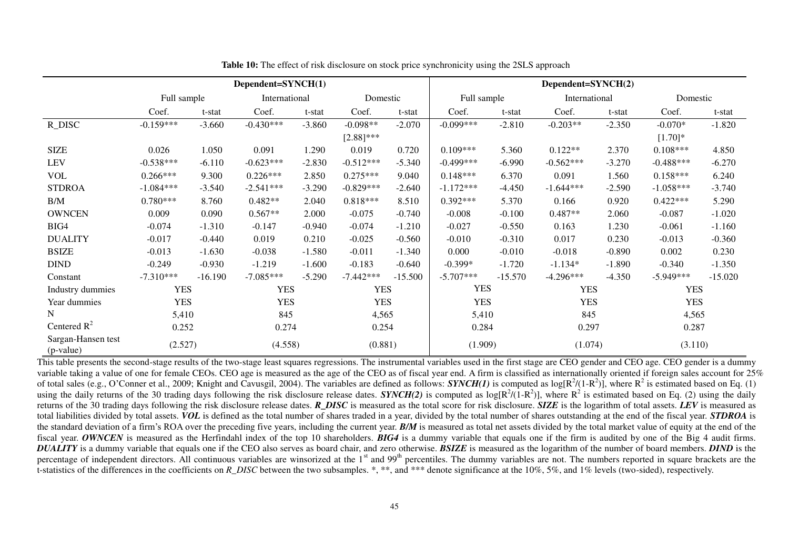|                                 | Dependent=SYNCH(1) |           |               |          |              | Dependent=SYNCH(2) |             |           |               |          |             |           |
|---------------------------------|--------------------|-----------|---------------|----------|--------------|--------------------|-------------|-----------|---------------|----------|-------------|-----------|
|                                 | Full sample        |           | International |          | Domestic     |                    | Full sample |           | International |          | Domestic    |           |
|                                 | Coef.              | t-stat    | Coef.         | t-stat   | Coef.        | t-stat             | Coef.       | t-stat    | Coef.         | t-stat   | Coef.       | t-stat    |
| R_DISC                          | $-0.159***$        | $-3.660$  | $-0.430***$   | $-3.860$ | $-0.098**$   | $-2.070$           | $-0.099***$ | $-2.810$  | $-0.203**$    | $-2.350$ | $-0.070*$   | $-1.820$  |
|                                 |                    |           |               |          | $[2.88]$ *** |                    |             |           |               |          | $[1.70]$ *  |           |
| <b>SIZE</b>                     | 0.026              | 1.050     | 0.091         | 1.290    | 0.019        | 0.720              | $0.109***$  | 5.360     | $0.122**$     | 2.370    | $0.108***$  | 4.850     |
| <b>LEV</b>                      | $-0.538***$        | $-6.110$  | $-0.623***$   | $-2.830$ | $-0.512***$  | $-5.340$           | $-0.499***$ | $-6.990$  | $-0.562***$   | $-3.270$ | $-0.488***$ | $-6.270$  |
| <b>VOL</b>                      | $0.266***$         | 9.300     | $0.226***$    | 2.850    | $0.275***$   | 9.040              | $0.148***$  | 6.370     | 0.091         | 1.560    | $0.158***$  | 6.240     |
| <b>STDROA</b>                   | $-1.084***$        | $-3.540$  | $-2.541***$   | $-3.290$ | $-0.829***$  | $-2.640$           | $-1.172***$ | $-4.450$  | $-1.644***$   | $-2.590$ | $-1.058***$ | $-3.740$  |
| B/M                             | $0.780***$         | 8.760     | $0.482**$     | 2.040    | $0.818***$   | 8.510              | $0.392***$  | 5.370     | 0.166         | 0.920    | $0.422***$  | 5.290     |
| <b>OWNCEN</b>                   | 0.009              | 0.090     | $0.567**$     | 2.000    | $-0.075$     | $-0.740$           | $-0.008$    | $-0.100$  | $0.487**$     | 2.060    | $-0.087$    | $-1.020$  |
| BIG4                            | $-0.074$           | $-1.310$  | $-0.147$      | $-0.940$ | $-0.074$     | $-1.210$           | $-0.027$    | $-0.550$  | 0.163         | 1.230    | $-0.061$    | $-1.160$  |
| <b>DUALITY</b>                  | $-0.017$           | $-0.440$  | 0.019         | 0.210    | $-0.025$     | $-0.560$           | $-0.010$    | $-0.310$  | 0.017         | 0.230    | $-0.013$    | $-0.360$  |
| <b>BSIZE</b>                    | $-0.013$           | $-1.630$  | $-0.038$      | $-1.580$ | $-0.011$     | $-1.340$           | 0.000       | $-0.010$  | $-0.018$      | $-0.890$ | 0.002       | 0.230     |
| <b>DIND</b>                     | $-0.249$           | $-0.930$  | $-1.219$      | $-1.600$ | $-0.183$     | $-0.640$           | $-0.399*$   | $-1.720$  | $-1.134*$     | $-1.890$ | $-0.340$    | $-1.350$  |
| Constant                        | $-7.310***$        | $-16.190$ | $-7.085***$   | $-5.290$ | $-7.442***$  | $-15.500$          | $-5.707***$ | $-15.570$ | $-4.296***$   | $-4.350$ | $-5.949***$ | $-15.020$ |
| Industry dummies                | <b>YES</b>         |           | <b>YES</b>    |          | <b>YES</b>   |                    | <b>YES</b>  |           | <b>YES</b>    |          | <b>YES</b>  |           |
| Year dummies                    | <b>YES</b>         |           | <b>YES</b>    |          | <b>YES</b>   |                    | <b>YES</b>  |           | <b>YES</b>    |          | <b>YES</b>  |           |
| N                               | 5,410              |           | 845           |          | 4,565        |                    | 5,410       |           | 845           |          | 4,565       |           |
| Centered $R^2$                  | 0.252              |           | 0.274         |          | 0.254        |                    | 0.284       |           | 0.297         |          | 0.287       |           |
| Sargan-Hansen test<br>(p-value) | (2.527)            |           | (4.558)       |          | (0.881)      |                    | (1.909)     |           | (1.074)       |          | (3.110)     |           |

**Table 10:** The effect of risk disclosure on stock price synchronicity using the 2SLS approach

This table presents the second-stage results of the two-stage least squares regressions. The instrumental variables used in the first stage are CEO gender and CEO age. CEO gender is a dummy variable taking a value of one for female CEOs. CEO age is measured as the age of the CEO as of fiscal year end. A firm is classified as internationally oriented if foreign sales account for 25% of total sales (e.g., O'Conner et al., 2009; Knight and Cavusgil, 2004). The variables are defined as follows: **SYNCH(1)** is computed as  $log[R^2/(1-R^2)]$ , where  $R^2$  is estimated based on Eq. (1) using the daily returns of the 30 trading days following the risk disclosure release dates. **SYNCH(2)** is computed as  $log[R^2/(1-R^2)]$ , where  $R^2$  is estimated based on Eq. (2) using the daily returns of the 30 trading days following the risk disclosure release dates. *R\_DISC* is measured as the total score for risk disclosure. *SIZE* is the logarithm of total assets. *LEV* is measured as total liabilities divided by total assets. *VOL* is defined as the total number of shares traded in a year, divided by the total number of shares outstanding at the end of the fiscal year. *STDROA* is the standard deviation of a firm's ROA over the preceding five years, including the current year. *B/M* is measured as total net assets divided by the total market value of equity at the end of the fiscal year. *OWNCEN* is measured as the Herfindahl index of the top 10 shareholders. *BIG4* is a dummy variable that equals one if the firm is audited by one of the Big 4 audit firms. *DUALITY* is a dummy variable that equals one if the CEO also serves as board chair, and zero otherwise. **BSIZE** is measured as the logarithm of the number of board members. *DIND* is the percentage of independent directors. All continuous variables are winsorized at the 1<sup>st</sup> and 99<sup>th</sup> percentiles. The dummy variables are not. The numbers reported in square brackets are the t-statistics of the differences in the coefficients on *R\_DISC* between the two subsamples. \*, \*\*, and \*\*\* denote significance at the 10%, 5%, and 1% levels (two-sided), respectively.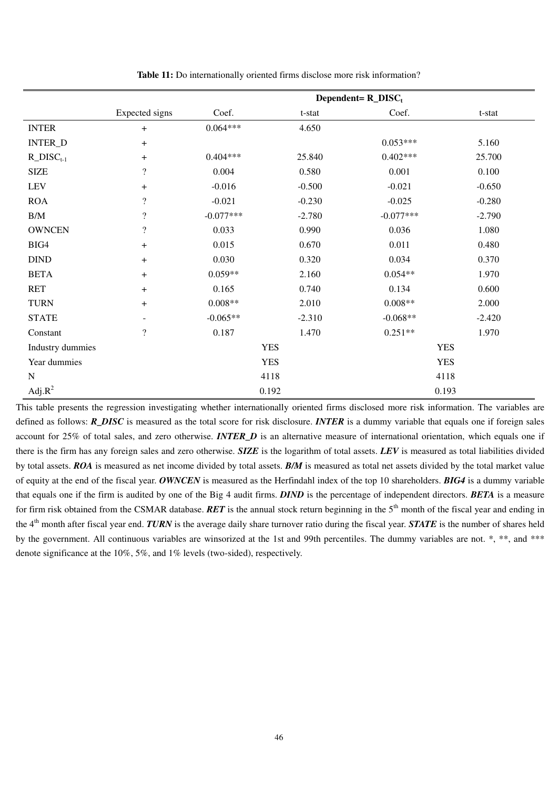|                    |                          | Dependent= $R$ _DIS $C_t$ |            |             |          |  |
|--------------------|--------------------------|---------------------------|------------|-------------|----------|--|
|                    | Expected signs           | Coef.                     | t-stat     | Coef.       | t-stat   |  |
| <b>INTER</b>       | $+$                      | $0.064***$                | 4.650      |             |          |  |
| INTER_D            | $+$                      |                           |            | $0.053***$  | 5.160    |  |
| $R$ _DIS $C_{t-1}$ | $\ddot{}$                | $0.404***$                | 25.840     | $0.402***$  | 25.700   |  |
| <b>SIZE</b>        | $\overline{\mathcal{L}}$ | 0.004                     | 0.580      | 0.001       | 0.100    |  |
| <b>LEV</b>         | $\ddot{}$                | $-0.016$                  | $-0.500$   | $-0.021$    | $-0.650$ |  |
| <b>ROA</b>         | $\overline{\mathcal{L}}$ | $-0.021$                  | $-0.230$   | $-0.025$    | $-0.280$ |  |
| B/M                | $\overline{\mathcal{L}}$ | $-0.077***$               | $-2.780$   | $-0.077***$ | $-2.790$ |  |
| <b>OWNCEN</b>      | $\overline{\mathcal{L}}$ | 0.033                     | 0.990      | 0.036       | 1.080    |  |
| BIG4               | $\pm$                    | 0.015                     | 0.670      | 0.011       | 0.480    |  |
| <b>DIND</b>        | $+$                      | 0.030                     | 0.320      | 0.034       | 0.370    |  |
| <b>BETA</b>        | $+$                      | $0.059**$                 | 2.160      | $0.054**$   | 1.970    |  |
| <b>RET</b>         | $\ddot{}$                | 0.165                     | 0.740      | 0.134       | 0.600    |  |
| <b>TURN</b>        | $\pm$                    | $0.008**$                 | 2.010      | $0.008**$   | 2.000    |  |
| <b>STATE</b>       | -                        | $-0.065**$                | $-2.310$   | $-0.068**$  | $-2.420$ |  |
| Constant           | $\overline{\mathcal{L}}$ | 0.187                     | 1.470      | $0.251**$   | 1.970    |  |
| Industry dummies   |                          | <b>YES</b>                |            | <b>YES</b>  |          |  |
| Year dummies       |                          |                           | <b>YES</b> | <b>YES</b>  |          |  |
| $\mathbf N$        |                          | 4118<br>4118              |            |             |          |  |
| Adj. $R^2$         |                          |                           | 0.192      | 0.193       |          |  |

**Table 11:** Do internationally oriented firms disclose more risk information?

This table presents the regression investigating whether internationally oriented firms disclosed more risk information. The variables are defined as follows: *R\_DISC* is measured as the total score for risk disclosure. *INTER* is a dummy variable that equals one if foreign sales account for 25% of total sales, and zero otherwise. *INTER\_D* is an alternative measure of international orientation, which equals one if there is the firm has any foreign sales and zero otherwise. *SIZE* is the logarithm of total assets. *LEV* is measured as total liabilities divided by total assets. *ROA* is measured as net income divided by total assets. *B/M* is measured as total net assets divided by the total market value of equity at the end of the fiscal year. *OWNCEN* is measured as the Herfindahl index of the top 10 shareholders. *BIG4* is a dummy variable that equals one if the firm is audited by one of the Big 4 audit firms. *DIND* is the percentage of independent directors. *BETA* is a measure for firm risk obtained from the CSMAR database. **RET** is the annual stock return beginning in the  $5<sup>th</sup>$  month of the fiscal year and ending in the 4<sup>th</sup> month after fiscal year end. *TURN* is the average daily share turnover ratio during the fiscal year. *STATE* is the number of shares held by the government. All continuous variables are winsorized at the 1st and 99th percentiles. The dummy variables are not. \*, \*\*, and \*\*\* denote significance at the 10%, 5%, and 1% levels (two-sided), respectively.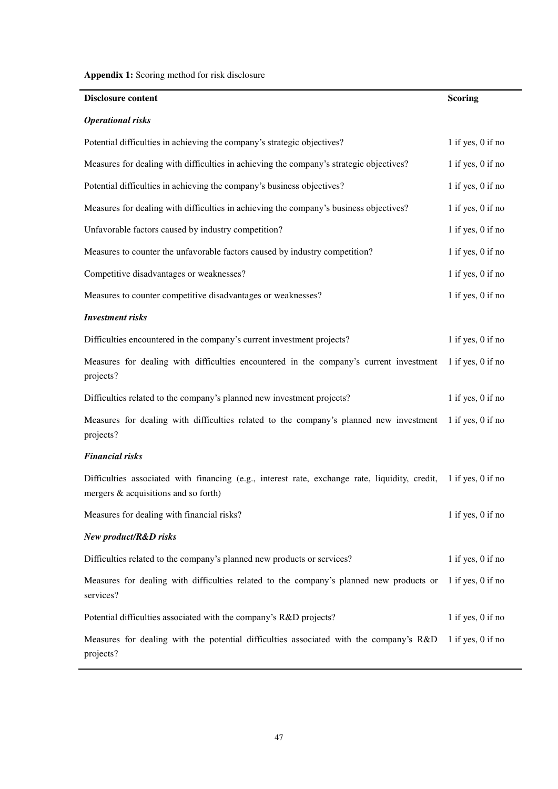## **Appendix 1:** Scoring method for risk disclosure

| <b>Disclosure content</b>                                                                                                              | <b>Scoring</b>      |
|----------------------------------------------------------------------------------------------------------------------------------------|---------------------|
| <b>Operational risks</b>                                                                                                               |                     |
| Potential difficulties in achieving the company's strategic objectives?                                                                | 1 if yes, 0 if no   |
| Measures for dealing with difficulties in achieving the company's strategic objectives?                                                | 1 if yes, 0 if no   |
| Potential difficulties in achieving the company's business objectives?                                                                 | 1 if yes, 0 if no   |
| Measures for dealing with difficulties in achieving the company's business objectives?                                                 | 1 if yes, $0$ if no |
| Unfavorable factors caused by industry competition?                                                                                    | 1 if yes, $0$ if no |
| Measures to counter the unfavorable factors caused by industry competition?                                                            | 1 if yes, 0 if no   |
| Competitive disadvantages or weaknesses?                                                                                               | 1 if yes, 0 if no   |
| Measures to counter competitive disadvantages or weaknesses?                                                                           | 1 if yes, 0 if no   |
| <b>Investment</b> risks                                                                                                                |                     |
| Difficulties encountered in the company's current investment projects?                                                                 | 1 if yes, 0 if no   |
| Measures for dealing with difficulties encountered in the company's current investment<br>projects?                                    | 1 if yes, 0 if no   |
| Difficulties related to the company's planned new investment projects?                                                                 | 1 if yes, 0 if no   |
| Measures for dealing with difficulties related to the company's planned new investment<br>projects?                                    | 1 if yes, $0$ if no |
| <b>Financial risks</b>                                                                                                                 |                     |
| Difficulties associated with financing (e.g., interest rate, exchange rate, liquidity, credit,<br>mergers & acquisitions and so forth) | 1 if yes, $0$ if no |
| Measures for dealing with financial risks?                                                                                             | 1 if yes, 0 if no   |
| New product/R&D risks                                                                                                                  |                     |
| Difficulties related to the company's planned new products or services?                                                                | 1 if yes, $0$ if no |
| Measures for dealing with difficulties related to the company's planned new products or<br>services?                                   | 1 if yes, $0$ if no |
| Potential difficulties associated with the company's R&D projects?                                                                     | 1 if yes, 0 if no   |
| Measures for dealing with the potential difficulties associated with the company's R&D<br>projects?                                    | 1 if yes, $0$ if no |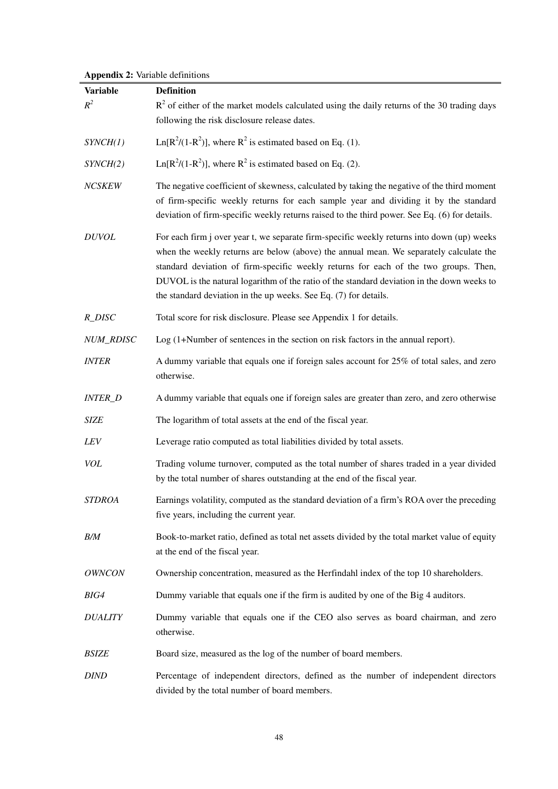| <b>Variable</b><br>$R^2$ | <b>Definition</b><br>$R2$ of either of the market models calculated using the daily returns of the 30 trading days                                                                                                                                                                                                                                                                                                                             |
|--------------------------|------------------------------------------------------------------------------------------------------------------------------------------------------------------------------------------------------------------------------------------------------------------------------------------------------------------------------------------------------------------------------------------------------------------------------------------------|
|                          | following the risk disclosure release dates.                                                                                                                                                                                                                                                                                                                                                                                                   |
| SYNCH(1)                 | $Ln[R^2/(1-R^2)]$ , where $R^2$ is estimated based on Eq. (1).                                                                                                                                                                                                                                                                                                                                                                                 |
| SYNCH(2)                 | Ln[ $R^2/(1-R^2)$ ], where $R^2$ is estimated based on Eq. (2).                                                                                                                                                                                                                                                                                                                                                                                |
| <b>NCSKEW</b>            | The negative coefficient of skewness, calculated by taking the negative of the third moment<br>of firm-specific weekly returns for each sample year and dividing it by the standard<br>deviation of firm-specific weekly returns raised to the third power. See Eq. (6) for details.                                                                                                                                                           |
| <b>DUVOL</b>             | For each firm j over year t, we separate firm-specific weekly returns into down (up) weeks<br>when the weekly returns are below (above) the annual mean. We separately calculate the<br>standard deviation of firm-specific weekly returns for each of the two groups. Then,<br>DUVOL is the natural logarithm of the ratio of the standard deviation in the down weeks to<br>the standard deviation in the up weeks. See Eq. (7) for details. |
| $R$ <sub></sub> $DISC$   | Total score for risk disclosure. Please see Appendix 1 for details.                                                                                                                                                                                                                                                                                                                                                                            |
| NUM_RDISC                | Log (1+Number of sentences in the section on risk factors in the annual report).                                                                                                                                                                                                                                                                                                                                                               |
| <b>INTER</b>             | A dummy variable that equals one if foreign sales account for 25% of total sales, and zero<br>otherwise.                                                                                                                                                                                                                                                                                                                                       |
| <b>INTER_D</b>           | A dummy variable that equals one if foreign sales are greater than zero, and zero otherwise                                                                                                                                                                                                                                                                                                                                                    |
| <b>SIZE</b>              | The logarithm of total assets at the end of the fiscal year.                                                                                                                                                                                                                                                                                                                                                                                   |
| LEV                      | Leverage ratio computed as total liabilities divided by total assets.                                                                                                                                                                                                                                                                                                                                                                          |
| <b>VOL</b>               | Trading volume turnover, computed as the total number of shares traded in a year divided<br>by the total number of shares outstanding at the end of the fiscal year.                                                                                                                                                                                                                                                                           |
| <b>STDROA</b>            | Earnings volatility, computed as the standard deviation of a firm's ROA over the preceding<br>five years, including the current year.                                                                                                                                                                                                                                                                                                          |
| B/M                      | Book-to-market ratio, defined as total net assets divided by the total market value of equity<br>at the end of the fiscal year.                                                                                                                                                                                                                                                                                                                |
| <b>OWNCON</b>            | Ownership concentration, measured as the Herfindahl index of the top 10 shareholders.                                                                                                                                                                                                                                                                                                                                                          |
| BIG4                     | Dummy variable that equals one if the firm is audited by one of the Big 4 auditors.                                                                                                                                                                                                                                                                                                                                                            |
| <b>DUALITY</b>           | Dummy variable that equals one if the CEO also serves as board chairman, and zero<br>otherwise.                                                                                                                                                                                                                                                                                                                                                |
| <b>BSIZE</b>             | Board size, measured as the log of the number of board members.                                                                                                                                                                                                                                                                                                                                                                                |
| <b>DIND</b>              | Percentage of independent directors, defined as the number of independent directors<br>divided by the total number of board members.                                                                                                                                                                                                                                                                                                           |

**Appendix 2:** Variable definitions